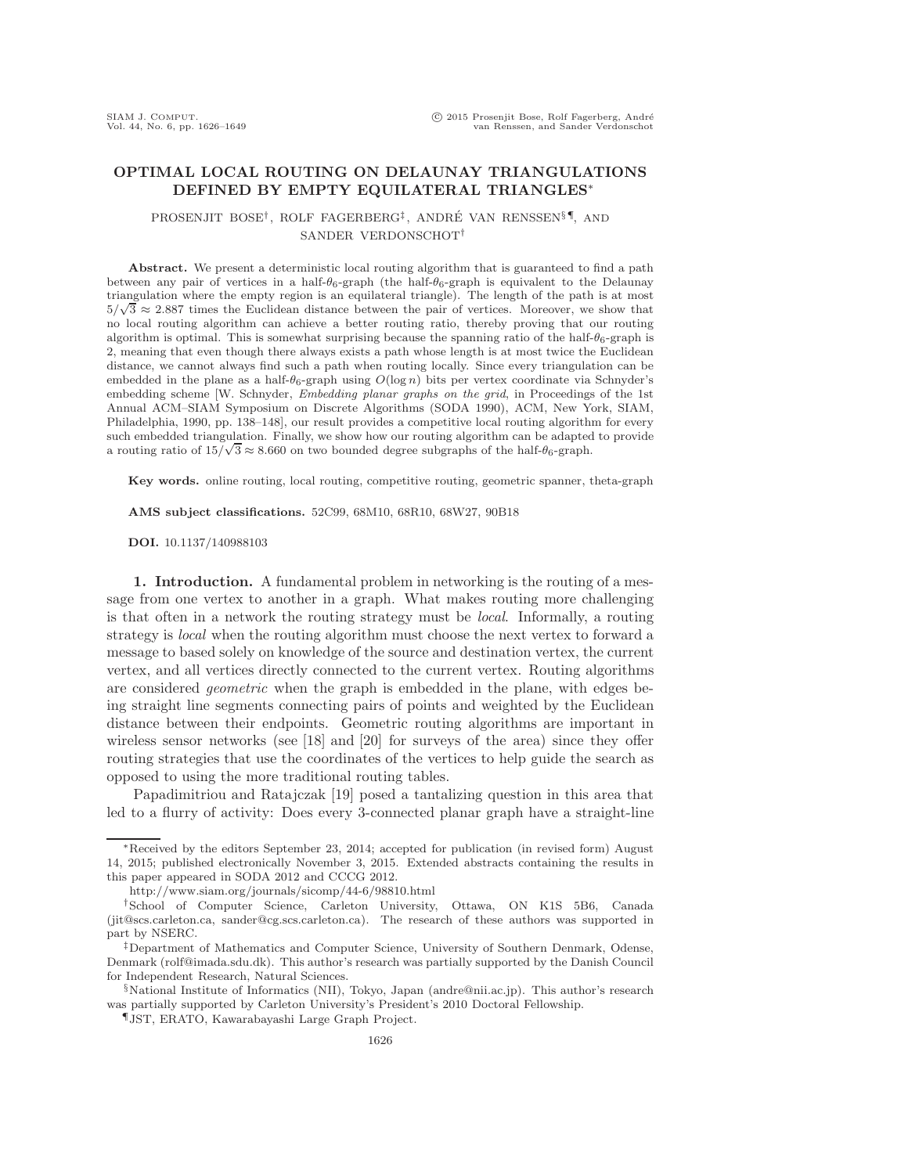# **OPTIMAL LOCAL ROUTING ON DELAUNAY TRIANGULATIONS DEFINED BY EMPTY EQUILATERAL TRIANGLES**∗

## PROSENJIT BOSE<sup>†</sup>, ROLF FAGERBERG<sup>‡</sup>, ANDRÉ VAN RENSSEN<sup>§</sup><sup>¶</sup>, AND SANDER VERDONSCHOT†

Abstract. We present a deterministic local routing algorithm that is guaranteed to find a path between any pair of vertices in a half- $\theta_6$ -graph (the half- $\theta_6$ -graph is equivalent to the Delaunay triangulation where the empty region is an equilateral triangle). The length of the path is at most  $5/\sqrt{3} \approx 2.887$  times the Euclidean distance between the pair of vertices. Moreover, we show that no local routing algorithm can achieve a better routing ratio, thereby proving that our routing algorithm is optimal. This is somewhat surprising because the spanning ratio of the half- $\theta_6$ -graph is 2, meaning that even though there always exists a path whose length is at most twice the Euclidean distance, we cannot always find such a path when routing locally. Since every triangulation can be embedded in the plane as a half- $\theta_6$ -graph using  $O(\log n)$  bits per vertex coordinate via Schnyder's embedding scheme [W. Schnyder, *Embedding planar graphs on the grid*, in Proceedings of the 1st Annual ACM–SIAM Symposium on Discrete Algorithms (SODA 1990), ACM, New York, SIAM, Philadelphia, 1990, pp. 138–148], our result provides a competitive local routing algorithm for every such embedded triangulation. Finally, we show how our routing algorithm can be adapted to provide a routing ratio of  $15/\sqrt{3} \approx 8.660$  on two bounded degree subgraphs of the half- $\theta_6$ -graph.

**Key words.** online routing, local routing, competitive routing, geometric spanner, theta-graph

**AMS subject classifications.** 52C99, 68M10, 68R10, 68W27, 90B18

**DOI.** 10.1137/140988103

**1. Introduction.** A fundamental problem in networking is the routing of a message from one vertex to another in a graph. What makes routing more challenging is that often in a network the routing strategy must be *local*. Informally, a routing strategy is *local* when the routing algorithm must choose the next vertex to forward a message to based solely on knowledge of the source and destination vertex, the current vertex, and all vertices directly connected to the current vertex. Routing algorithms are considered *geometric* when the graph is embedded in the plane, with edges being straight line segments connecting pairs of points and weighted by the Euclidean distance between their endpoints. Geometric routing algorithms are important in wireless sensor networks (see [\[18\]](#page-22-0) and [\[20\]](#page-23-0) for surveys of the area) since they offer routing strategies that use the coordinates of the vertices to help guide the search as opposed to using the more traditional routing tables.

Papadimitriou and Ratajczak [\[19\]](#page-23-1) posed a tantalizing question in this area that led to a flurry of activity: Does every 3-connected planar graph have a straight-line

<sup>∗</sup>Received by the editors September 23, 2014; accepted for publication (in revised form) August 14, 2015; published electronically November 3, 2015. Extended abstracts containing the results in this paper appeared in SODA 2012 and CCCG 2012.

<http://www.siam.org/journals/sicomp/44-6/98810.html>

<sup>†</sup>School of Computer Science, Carleton University, Ottawa, ON K1S 5B6, Canada [\(jit@scs.carleton.ca,](mailto:jit@scs.carleton.ca) [sander@cg.scs.carleton.ca\)](mailto:sander@cg.scs.carleton.ca). The research of these authors was supported in part by NSERC.

<sup>‡</sup>Department of Mathematics and Computer Science, University of Southern Denmark, Odense, Denmark [\(rolf@imada.sdu.dk\)](mailto:rolf@imada.sdu.dk). This author's research was partially supported by the Danish Council for Independent Research, Natural Sciences.

<sup>§</sup>National Institute of Informatics (NII), Tokyo, Japan [\(andre@nii.ac.jp\)](mailto:andre@nii.ac.jp). This author's research was partially supported by Carleton University's President's 2010 Doctoral Fellowship.

<sup>¶</sup>JST, ERATO, Kawarabayashi Large Graph Project.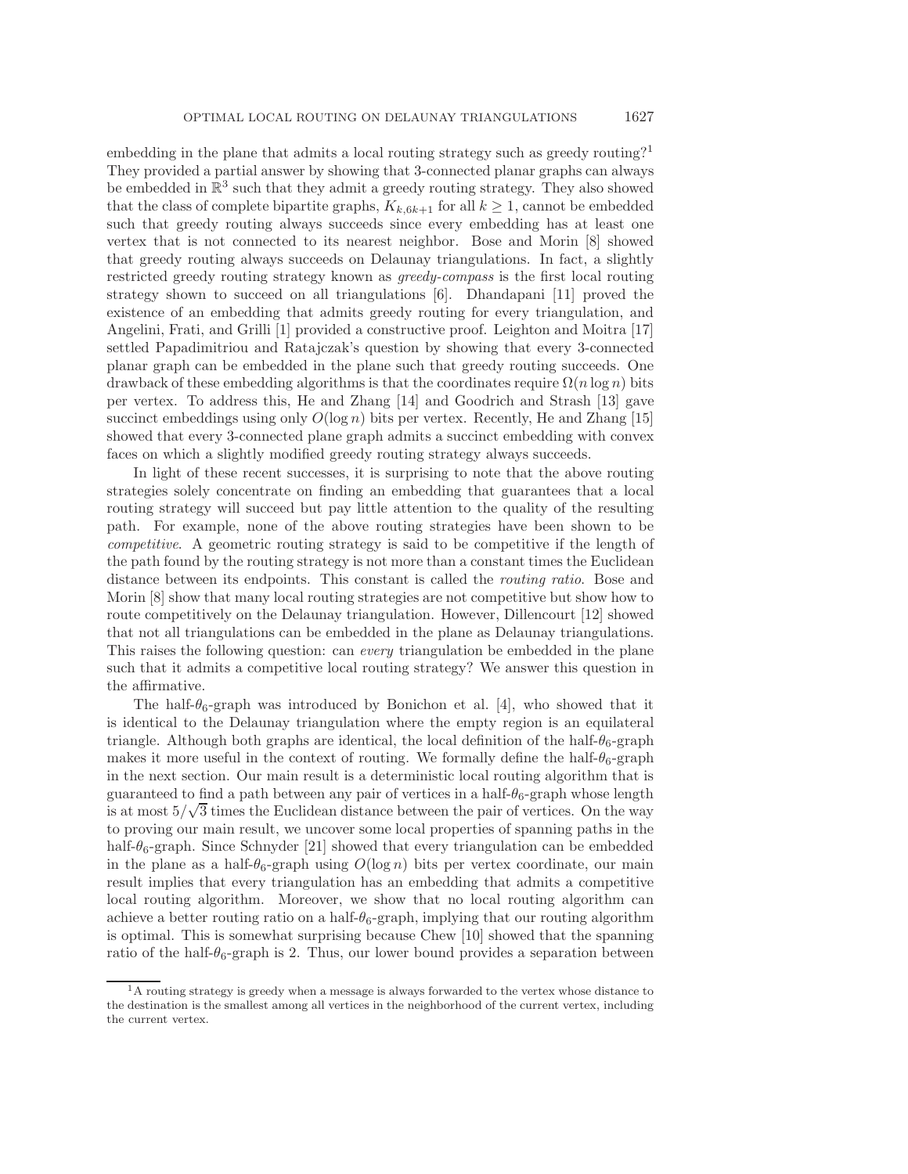embedding in the plane that admits a local routing strategy such as greedy routing?[1](#page-1-0) They provided a partial answer by showing that 3-connected planar graphs can always be embedded in  $\mathbb{R}^3$  such that they admit a greedy routing strategy. They also showed that the class of complete bipartite graphs,  $K_{k,6k+1}$  for all  $k \geq 1$ , cannot be embedded such that greedy routing always succeeds since every embedding has at least one vertex that is not connected to its nearest neighbor. Bose and Morin [\[8\]](#page-22-1) showed that greedy routing always succeeds on Delaunay triangulations. In fact, a slightly restricted greedy routing strategy known as *greedy-compass* is the first local routing strategy shown to succeed on all triangulations [\[6\]](#page-22-2). Dhandapani [\[11\]](#page-22-3) proved the existence of an embedding that admits greedy routing for every triangulation, and Angelini, Frati, and Grilli [\[1\]](#page-22-4) provided a constructive proof. Leighton and Moitra [\[17\]](#page-22-5) settled Papadimitriou and Ratajczak's question by showing that every 3-connected planar graph can be embedded in the plane such that greedy routing succeeds. One drawback of these embedding algorithms is that the coordinates require  $\Omega(n \log n)$  bits per vertex. To address this, He and Zhang [\[14\]](#page-22-6) and Goodrich and Strash [\[13\]](#page-22-7) gave succinct embeddings using only  $O(\log n)$  bits per vertex. Recently, He and Zhang [\[15\]](#page-22-8) showed that every 3-connected plane graph admits a succinct embedding with convex faces on which a slightly modified greedy routing strategy always succeeds.

In light of these recent successes, it is surprising to note that the above routing strategies solely concentrate on finding an embedding that guarantees that a local routing strategy will succeed but pay little attention to the quality of the resulting path. For example, none of the above routing strategies have been shown to be *competitive*. A geometric routing strategy is said to be competitive if the length of the path found by the routing strategy is not more than a constant times the Euclidean distance between its endpoints. This constant is called the *routing ratio*. Bose and Morin [\[8\]](#page-22-1) show that many local routing strategies are not competitive but show how to route competitively on the Delaunay triangulation. However, Dillencourt [\[12\]](#page-22-9) showed that not all triangulations can be embedded in the plane as Delaunay triangulations. This raises the following question: can *every* triangulation be embedded in the plane such that it admits a competitive local routing strategy? We answer this question in the affirmative.

The half- $\theta_6$ -graph was introduced by Bonichon et al. [\[4\]](#page-22-10), who showed that it is identical to the Delaunay triangulation where the empty region is an equilateral triangle. Although both graphs are identical, the local definition of the half- $\theta_6$ -graph makes it more useful in the context of routing. We formally define the half- $\theta_6$ -graph in the next section. Our main result is a deterministic local routing algorithm that is guaranteed to find a path between any pair of vertices in a half- $\theta_6$ -graph whose length guaranteed to find a path between any pair of vertices in a han- $\sigma_6$ -graph whose length<br>is at most  $5/\sqrt{3}$  times the Euclidean distance between the pair of vertices. On the way to proving our main result, we uncover some local properties of spanning paths in the half- $\theta_6$ -graph. Since Schnyder [\[21\]](#page-23-2) showed that every triangulation can be embedded in the plane as a half- $\theta_6$ -graph using  $O(\log n)$  bits per vertex coordinate, our main result implies that every triangulation has an embedding that admits a competitive local routing algorithm. Moreover, we show that no local routing algorithm can achieve a better routing ratio on a half- $\theta_6$ -graph, implying that our routing algorithm is optimal. This is somewhat surprising because Chew [\[10\]](#page-22-11) showed that the spanning ratio of the half- $\theta_6$ -graph is 2. Thus, our lower bound provides a separation between

<span id="page-1-0"></span><sup>&</sup>lt;sup>1</sup>A routing strategy is greedy when a message is always forwarded to the vertex whose distance to the destination is the smallest among all vertices in the neighborhood of the current vertex, including the current vertex.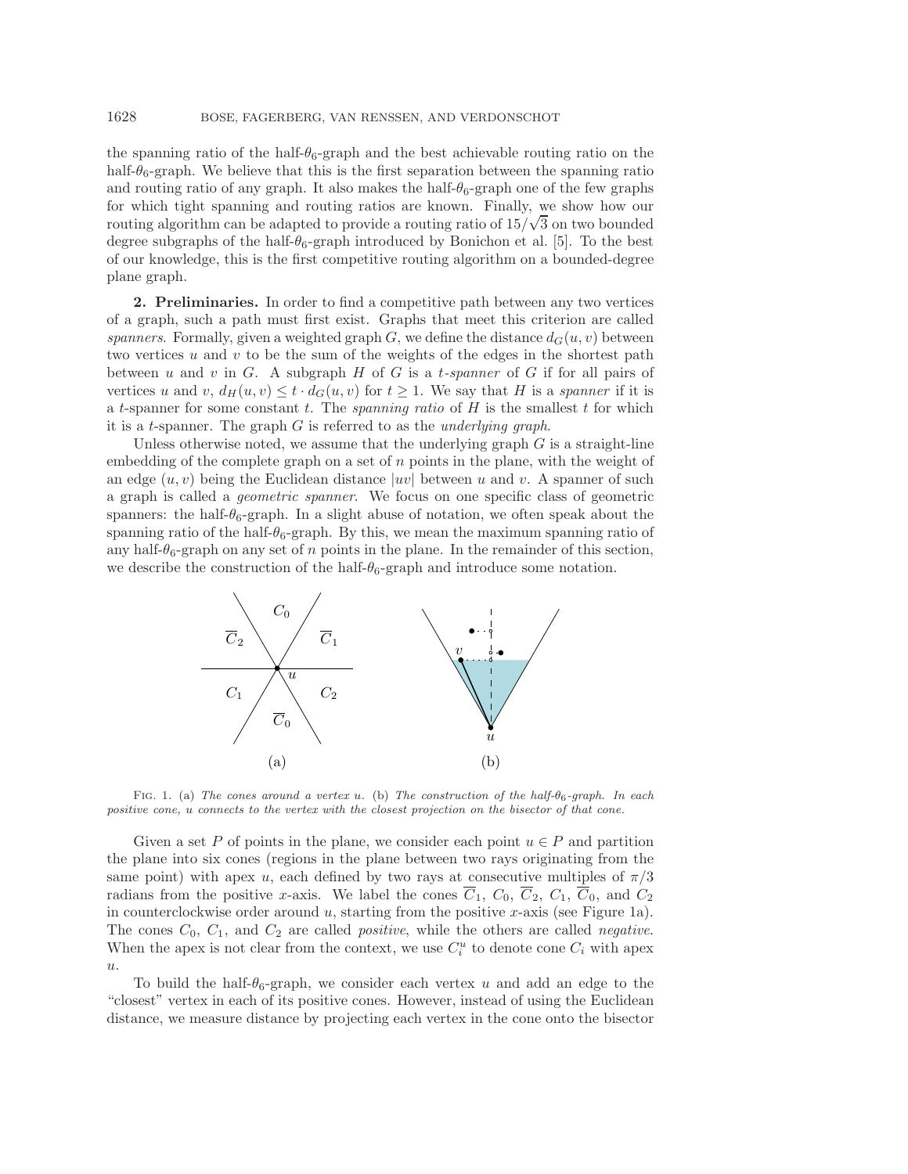the spanning ratio of the half- $\theta_6$ -graph and the best achievable routing ratio on the half- $\theta_6$ -graph. We believe that this is the first separation between the spanning ratio and routing ratio of any graph. It also makes the half- $\theta_6$ -graph one of the few graphs for which tight spanning and routing ratios are known. Finally, we show how our routing algorithm can be adapted to provide a routing ratio of  $15/\sqrt{3}$  on two bounded degree subgraphs of the half- $\theta_6$ -graph introduced by Bonichon et al. [\[5\]](#page-22-12). To the best of our knowledge, this is the first competitive routing algorithm on a bounded-degree plane graph.

<span id="page-2-1"></span>**2. Preliminaries.** In order to find a competitive path between any two vertices of a graph, such a path must first exist. Graphs that meet this criterion are called *spanners*. Formally, given a weighted graph G, we define the distance  $d_G(u, v)$  between two vertices  $u$  and  $v$  to be the sum of the weights of the edges in the shortest path between u and v in G. A subgraph H of G is a t*-spanner* of G if for all pairs of vertices u and v,  $d_H(u, v) \le t \cdot d_G(u, v)$  for  $t \ge 1$ . We say that H is a *spanner* if it is a t-spanner for some constant t. The *spanning ratio* of H is the smallest t for which it is a t-spanner. The graph G is referred to as the *underlying graph*.

Unless otherwise noted, we assume that the underlying graph  $G$  is a straight-line embedding of the complete graph on a set of n points in the plane, with the weight of an edge  $(u, v)$  being the Euclidean distance  $|uv|$  between u and v. A spanner of such a graph is called a *geometric spanner*. We focus on one specific class of geometric spanners: the half- $\theta_6$ -graph. In a slight abuse of notation, we often speak about the spanning ratio of the half- $\theta_6$ -graph. By this, we mean the maximum spanning ratio of any half- $\theta_6$ -graph on any set of n points in the plane. In the remainder of this section, we describe the construction of the half- $\theta_6$ -graph and introduce some notation.

<span id="page-2-0"></span>

Fig. 1. (a) *The cones around a vertex* u*.* (b) *The construction of the half-*θ6*-graph. In each positive cone,* u *connects to the vertex with the closest projection on the bisector of that cone.*

Given a set P of points in the plane, we consider each point  $u \in P$  and partition the plane into six cones (regions in the plane between two rays originating from the same point) with apex u, each defined by two rays at consecutive multiples of  $\pi/3$ radians from the positive x-axis. We label the cones  $\overline{C}_1$ ,  $C_0$ ,  $\overline{C}_2$ ,  $C_1$ ,  $\overline{C}_0$ , and  $C_2$ in counterclockwise order around  $u$ , starting from the positive  $x$ -axis (see Figure [1a](#page-2-0)). The cones  $C_0$ ,  $C_1$ , and  $C_2$  are called *positive*, while the others are called *negative*. When the apex is not clear from the context, we use  $C_i^u$  to denote cone  $C_i$  with apex  $u$ .

To build the half- $\theta_6$ -graph, we consider each vertex u and add an edge to the "closest" vertex in each of its positive cones. However, instead of using the Euclidean distance, we measure distance by projecting each vertex in the cone onto the bisector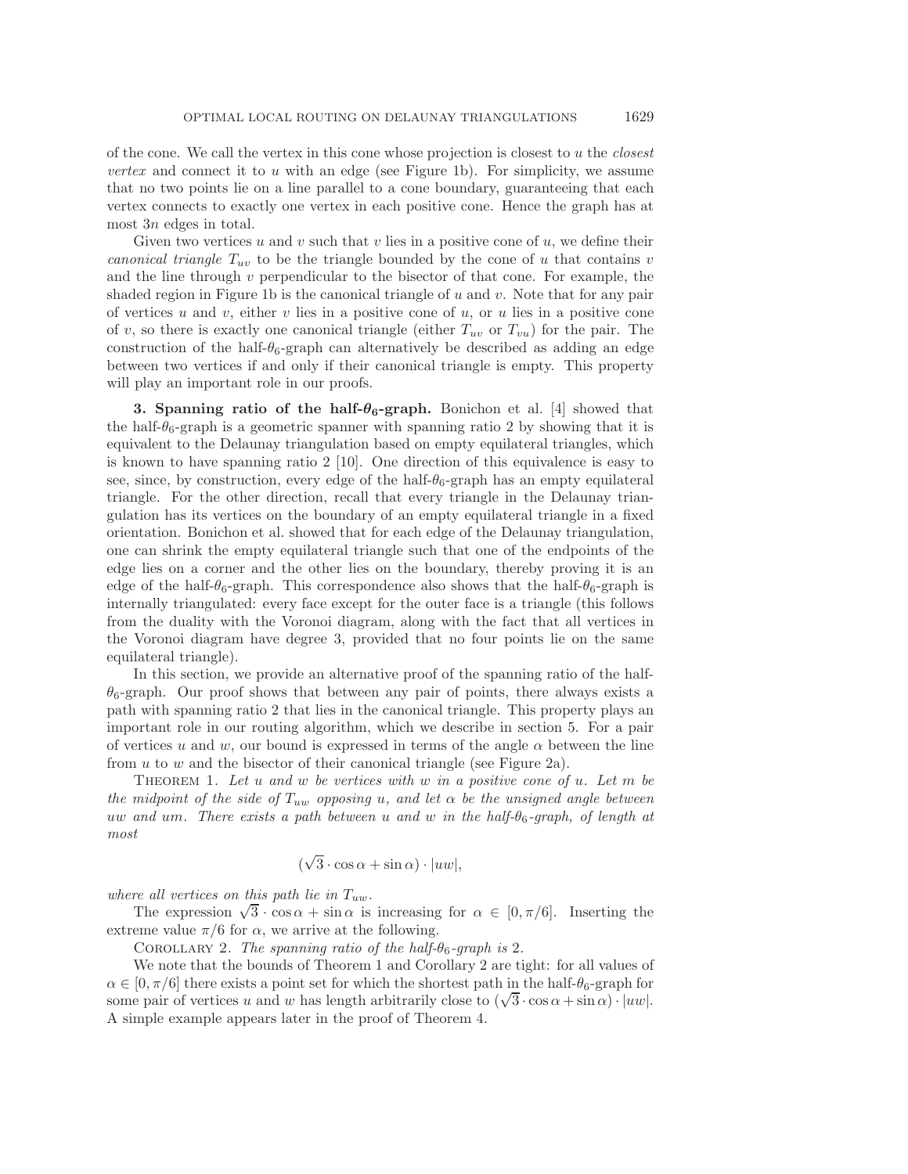of the cone. We call the vertex in this cone whose projection is closest to u the *closest vertex* and connect it to  $u$  with an edge (see Figure [1b](#page-2-0)). For simplicity, we assume that no two points lie on a line parallel to a cone boundary, guaranteeing that each vertex connects to exactly one vertex in each positive cone. Hence the graph has at most 3n edges in total.

Given two vertices u and v such that v lies in a positive cone of u, we define their *canonical triangle*  $T_{uv}$  to be the triangle bounded by the cone of u that contains v and the line through  $v$  perpendicular to the bisector of that cone. For example, the shaded region in Figure [1b](#page-2-0) is the canonical triangle of  $u$  and  $v$ . Note that for any pair of vertices u and v, either v lies in a positive cone of u, or u lies in a positive cone of v, so there is exactly one canonical triangle (either  $T_{uv}$  or  $T_{vu}$ ) for the pair. The construction of the half- $\theta_6$ -graph can alternatively be described as adding an edge between two vertices if and only if their canonical triangle is empty. This property will play an important role in our proofs.

**3. Spanning ratio of the half-** $\theta$ **<sup>6</sup>-graph.** Bonichon et al. [\[4\]](#page-22-10) showed that the half- $\theta_6$ -graph is a geometric spanner with spanning ratio 2 by showing that it is equivalent to the Delaunay triangulation based on empty equilateral triangles, which is known to have spanning ratio 2 [\[10\]](#page-22-11). One direction of this equivalence is easy to see, since, by construction, every edge of the half- $\theta_6$ -graph has an empty equilateral triangle. For the other direction, recall that every triangle in the Delaunay triangulation has its vertices on the boundary of an empty equilateral triangle in a fixed orientation. Bonichon et al. showed that for each edge of the Delaunay triangulation, one can shrink the empty equilateral triangle such that one of the endpoints of the edge lies on a corner and the other lies on the boundary, thereby proving it is an edge of the half- $\theta_6$ -graph. This correspondence also shows that the half- $\theta_6$ -graph is internally triangulated: every face except for the outer face is a triangle (this follows from the duality with the Voronoi diagram, along with the fact that all vertices in the Voronoi diagram have degree 3, provided that no four points lie on the same equilateral triangle).

In this section, we provide an alternative proof of the spanning ratio of the half- $\theta_6$ -graph. Our proof shows that between any pair of points, there always exists a path with spanning ratio 2 that lies in the canonical triangle. This property plays an important role in our routing algorithm, which we describe in section [5.](#page-6-0) For a pair of vertices u and w, our bound is expressed in terms of the angle  $\alpha$  between the line from  $u$  to  $w$  and the bisector of their canonical triangle (see Figure [2a\)](#page-4-0).

<span id="page-3-0"></span>Theorem 1. *Let* u *and* w *be vertices with* w *in a positive cone of* u*. Let* m *be the midpoint of the side of*  $T_{uw}$  *opposing* u, and let  $\alpha$  be the unsigned angle between uw *and* um*. There exists a path between* u *and* w *in the half-*θ6*-graph, of length at most*

$$
(\sqrt{3}\cdot\cos\alpha + \sin\alpha)\cdot|uw|,
$$

*where all vertices on this path lie in*  $T_{uw}$ *.* 

<span id="page-3-1"></span>The expression  $\sqrt{3} \cdot \cos \alpha + \sin \alpha$  is increasing for  $\alpha \in [0, \pi/6]$ . Inserting the extreme value  $\pi/6$  for  $\alpha$ , we arrive at the following.

Corollary 2. *The spanning ratio of the half-*θ6*-graph is* 2*.*

We note that the bounds of Theorem [1](#page-3-0) and Corollary [2](#page-3-1) are tight: for all values of  $\alpha \in [0, \pi/6]$  there exists a point set for which the shortest path in the half- $\theta_6$ -graph for some pair of vertices u and w has length arbitrarily close to  $(\sqrt{3} \cdot \cos \alpha + \sin \alpha) \cdot |uw|$ . A simple example appears later in the proof of Theorem [4.](#page-7-0)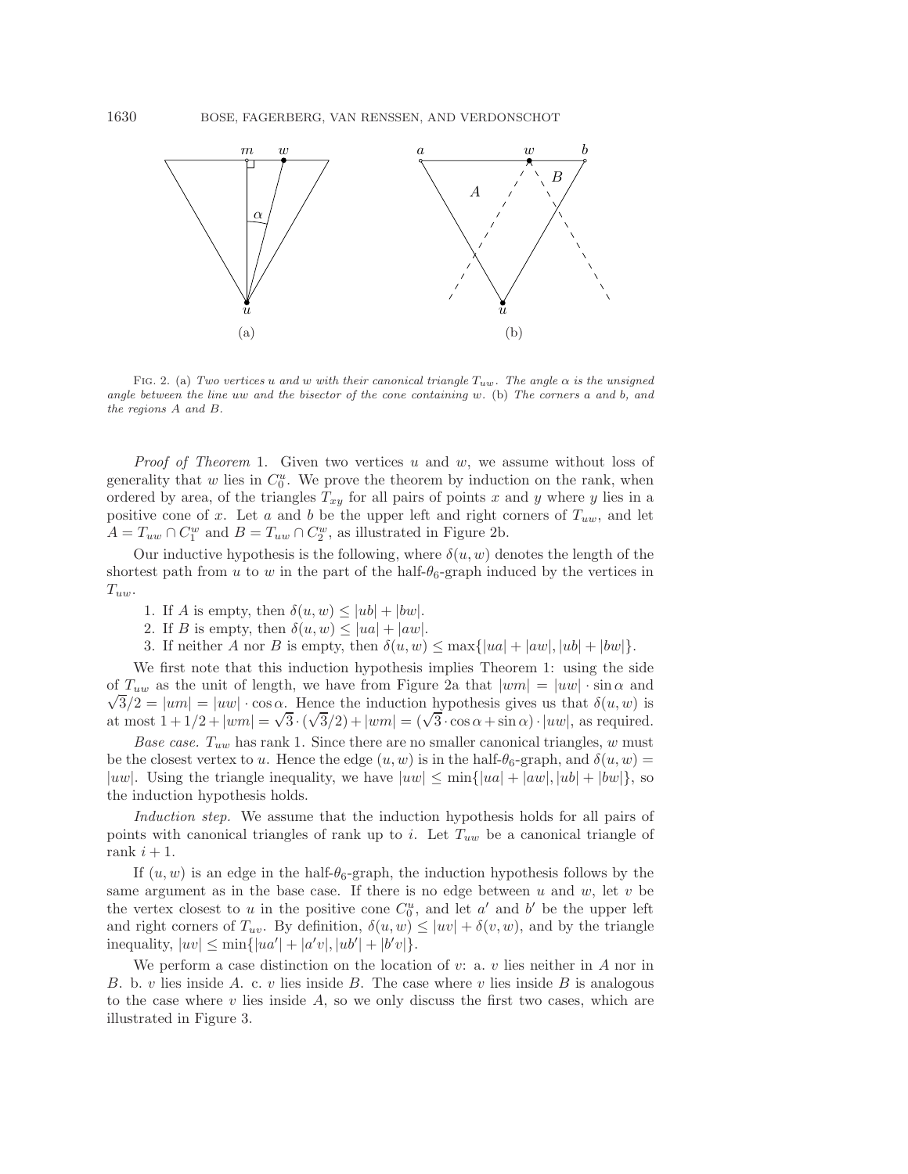

FIG. 2. (a) *Two vertices* u and w with their canonical triangle  $T_{uw}$ . The angle  $\alpha$  is the unsigned *angle between the line* uw *and the bisector of the cone containing* w*.* (b) *The corners* a *and* b*, and the regions* A *and* B*.*

*Proof of Theorem* [1.](#page-3-0) Given two vertices u and w, we assume without loss of generality that  $w$  lies in  $C_0^u$ . We prove the theorem by induction on the rank, when ordered by area, of the triangles  $T_{xy}$  for all pairs of points x and y where y lies in a positive cone of x. Let a and b be the upper left and right corners of  $T_{uw}$ , and let  $A = T_{uw} \cap C_1^w$  and  $B = T_{uw} \cap C_2^w$ , as illustrated in Figure [2b.](#page-4-0)

Our inductive hypothesis is the following, where  $\delta(u, w)$  denotes the length of the shortest path from u to w in the part of the half- $\theta_6$ -graph induced by the vertices in  $T_{uw}$ .

- 1. If A is empty, then  $\delta(u, w) \leq |ub| + |bw|$ .
- 2. If B is empty, then  $\delta(u, w) \le |ua| + |aw|$ .
- 3. If neither A nor B is empty, then  $\delta(u, w) \leq \max\{|ua| + |aw|, |ub| + |bw|\}.$

We first note that this induction hypothesis implies Theorem [1:](#page-3-0) using the side of  $T_{uw}$  as the unit of length, we have from Figure [2a](#page-4-0) that  $|wm| = |uw| \cdot \sin \alpha$  and  $\sqrt{3}/2 = |u\omega| - |\cos \alpha|$ . Hence the induction hypothesis gives us that  $\delta(u, w)$  is  $\sqrt{3}/2 = |u\pi| = |u\omega| \cdot \cos \alpha$ . Hence the induction hypothesis gives us that  $o(u, w)$  is<br>at most  $1 + 1/2 + |wm| = \sqrt{3} \cdot (\sqrt{3}/2) + |wm| = (\sqrt{3} \cdot \cos \alpha + \sin \alpha) \cdot |uw|$ , as required.

*Base case.*  $T_{uw}$  has rank 1. Since there are no smaller canonical triangles,  $w$  must be the closest vertex to u. Hence the edge  $(u, w)$  is in the half- $\theta_6$ -graph, and  $\delta(u, w)$  = |uw|. Using the triangle inequality, we have  $|uw| \le \min\{|ua| + |aw|, |ub| + |bw|\}$ , so the induction hypothesis holds.

*Induction step.* We assume that the induction hypothesis holds for all pairs of points with canonical triangles of rank up to i. Let  $T_{uw}$  be a canonical triangle of rank  $i + 1$ .

If  $(u, w)$  is an edge in the half- $\theta_6$ -graph, the induction hypothesis follows by the same argument as in the base case. If there is no edge between  $u$  and  $w$ , let  $v$  be the vertex closest to u in the positive cone  $C_0^u$ , and let a' and b' be the upper left and right corners of  $T_{uv}$ . By definition,  $\delta(u, w) \le |uv| + \delta(v, w)$ , and by the triangle inequality,  $|uv| \le \min\{|ua'| + |a'v|, |ub'| + |b'v|\}.$ 

We perform a case distinction on the location of  $v: a. v$  lies neither in A nor in B. b. v lies inside A. c. v lies inside B. The case where v lies inside B is analogous to the case where  $v$  lies inside  $A$ , so we only discuss the first two cases, which are illustrated in Figure [3.](#page-5-0)

<span id="page-4-0"></span>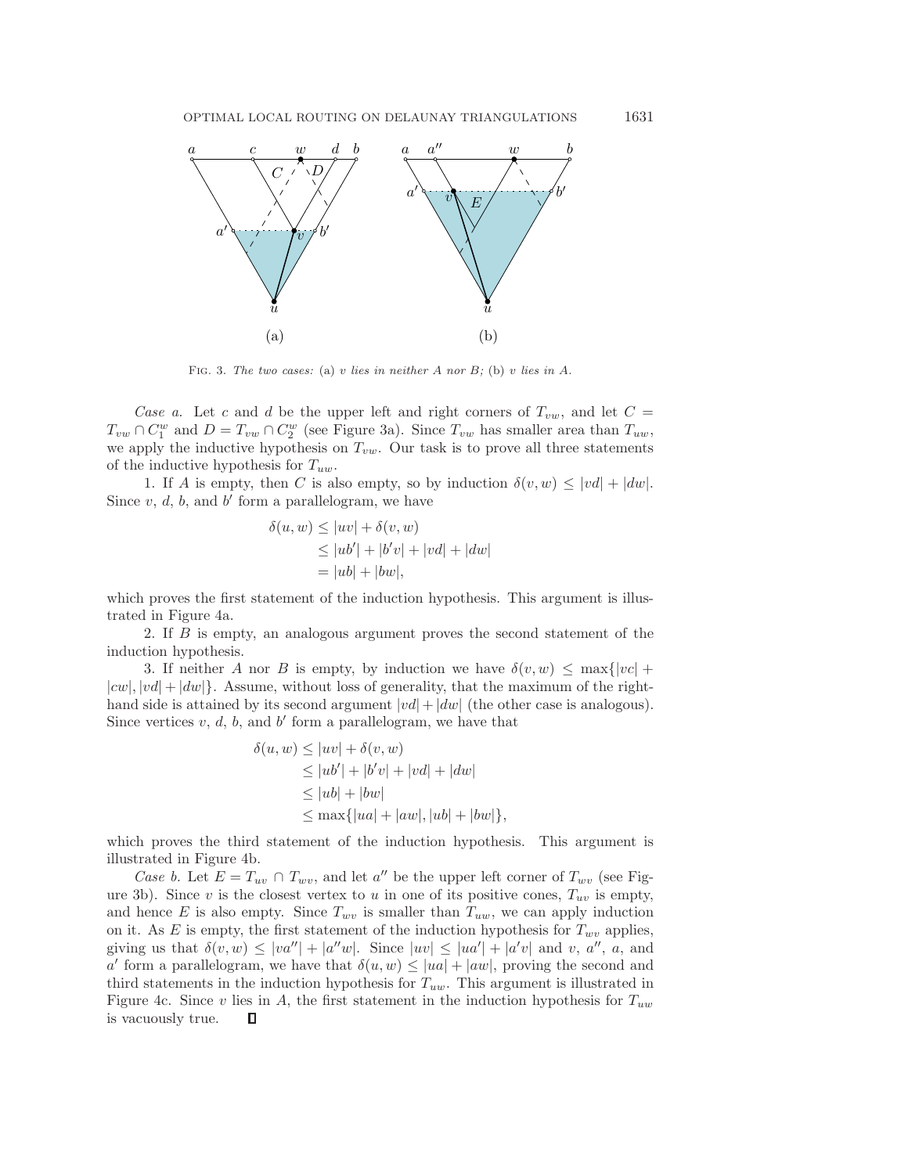<span id="page-5-0"></span>

Fig. 3. *The two cases:* (a) v *lies in neither* A *nor* B*;* (b) v *lies in* A*.*

*Case a.* Let c and d be the upper left and right corners of  $T_{vw}$ , and let  $C =$  $T_{vw} \cap C_1^w$  and  $D = T_{vw} \cap C_2^w$  (see Figure [3a](#page-5-0)). Since  $T_{vw}$  has smaller area than  $T_{uw}$ , we apply the inductive hypothesis on  $T_{vw}$ . Our task is to prove all three statements of the inductive hypothesis for  $T_{uw}$ .

1. If A is empty, then C is also empty, so by induction  $\delta(v, w) \leq |vd| + |dw|$ . Since  $v, d, b$ , and  $b'$  form a parallelogram, we have

$$
\delta(u, w) \le |uv| + \delta(v, w)
$$
  
\n
$$
\le |ub'| + |b'v| + |vd| + |dw|
$$
  
\n
$$
= |ub| + |bw|,
$$

which proves the first statement of the induction hypothesis. This argument is illustrated in Figure [4a](#page-6-1).

2. If B is empty, an analogous argument proves the second statement of the induction hypothesis.

3. If neither A nor B is empty, by induction we have  $\delta(v, w) \leq \max\{|vc| +$  $|cw|, |vd| + |dw|$ . Assume, without loss of generality, that the maximum of the righthand side is attained by its second argument  $|vd|+|dw|$  (the other case is analogous). Since vertices  $v, d, b$ , and  $b'$  form a parallelogram, we have that

$$
\delta(u, w) \le |uv| + \delta(v, w)
$$
  
\n
$$
\le |ub'| + |b'v| + |vd| + |dw|
$$
  
\n
$$
\le |ub| + |bw|
$$
  
\n
$$
\le \max\{|ua| + |aw|, |ub| + |bw|\},
$$

which proves the third statement of the induction hypothesis. This argument is illustrated in Figure [4b](#page-6-1).

*Case b.* Let  $E = T_{uv} \cap T_{wv}$ , and let a'' be the upper left corner of  $T_{wv}$  (see Fig-ure [3b](#page-5-0)). Since v is the closest vertex to u in one of its positive cones,  $T_{uv}$  is empty, and hence E is also empty. Since  $T_{wv}$  is smaller than  $T_{uw}$ , we can apply induction on it. As E is empty, the first statement of the induction hypothesis for  $T_{wv}$  applies, giving us that  $\delta(v, w) \leq |va''| + |a''w|$ . Since  $|uv| \leq |ua'| + |a'v|$  and v, a'', a, and a' form a parallelogram, we have that  $\delta(u, w) \leq |u\alpha| + |aw|$ , proving the second and third statements in the induction hypothesis for  $T_{uw}$ . This argument is illustrated in Figure [4c](#page-6-1). Since v lies in A, the first statement in the induction hypothesis for  $T_{uw}$ is vacuously true.О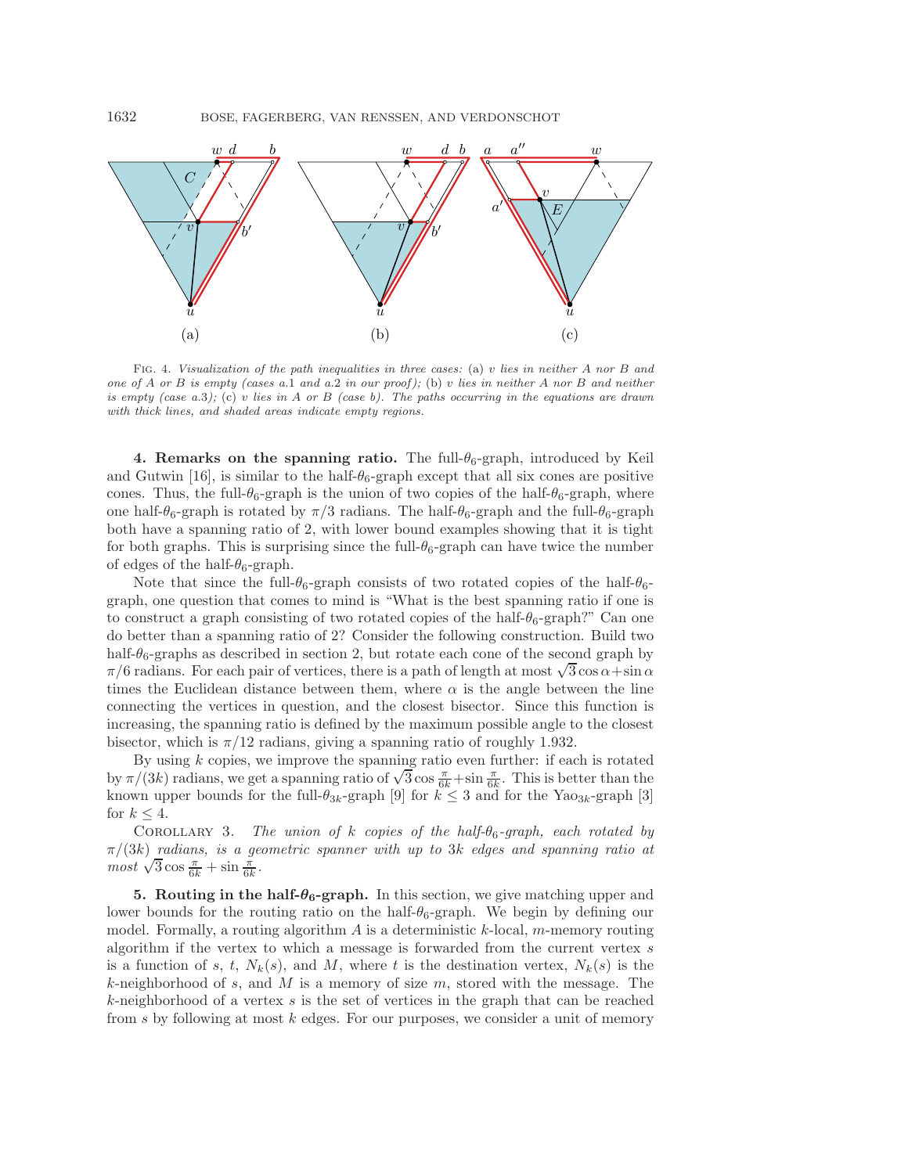1632 BOSE, FAGERBERG, VAN RENSSEN, AND VERDONSCHOT



Fig. 4. *Visualization of the path inequalities in three cases:* (a) v *lies in neither* A *nor* B *and one of* A *or* B *is empty (cases a.*1 *and a.*2 *in our proof);* (b) v *lies in neither* A *nor* B *and neither is empty (case a.*3*);* (c) v *lies in* A *or* B *(case b). The paths occurring in the equations are drawn with thick lines, and shaded areas indicate empty regions.*

**4. Remarks on the spanning ratio.** The full- $\theta_6$ -graph, introduced by Keil and Gutwin [\[16\]](#page-22-13), is similar to the half- $\theta_6$ -graph except that all six cones are positive cones. Thus, the full- $\theta_6$ -graph is the union of two copies of the half- $\theta_6$ -graph, where one half- $\theta_6$ -graph is rotated by  $\pi/3$  radians. The half- $\theta_6$ -graph and the full- $\theta_6$ -graph both have a spanning ratio of 2, with lower bound examples showing that it is tight for both graphs. This is surprising since the full- $\theta_6$ -graph can have twice the number of edges of the half- $\theta_6$ -graph.

Note that since the full- $\theta_6$ -graph consists of two rotated copies of the half- $\theta_6$ graph, one question that comes to mind is "What is the best spanning ratio if one is to construct a graph consisting of two rotated copies of the half- $\theta_6$ -graph?" Can one do better than a spanning ratio of 2? Consider the following construction. Build two half- $\theta_6$ -graphs as described in section [2,](#page-2-1) but rotate each cone of the second graph by  $\pi/6$  radians. For each pair of vertices, there is a path of length at most  $\sqrt{3}\cos\alpha+\sin\alpha$ times the Euclidean distance between them, where  $\alpha$  is the angle between the line connecting the vertices in question, and the closest bisector. Since this function is increasing, the spanning ratio is defined by the maximum possible angle to the closest bisector, which is  $\pi/12$  radians, giving a spanning ratio of roughly 1.932.

By using  $k$  copies, we improve the spanning ratio even further: if each is rotated by using k copies, we improve the spanning ratio even further: it each is rotated<br>by  $\pi/(3k)$  radians, we get a spanning ratio of  $\sqrt{3}\cos\frac{\pi}{6k}+\sin\frac{\pi}{6k}$ . This is better than the known upper bounds for the full- $\theta_{3k}$ -graph [\[9\]](#page-22-14) for  $k \leq 3$  and for the Yao<sub>3k</sub>-graph [\[3\]](#page-22-15) for  $k \leq 4$ .

COROLLARY 3. *The union of* k *copies of the half-θ<sub>6</sub>-graph, each rotated by* π/(3k) *radians, is a geometric spanner with up to* 3k *edges and spanning ratio at*  $\frac{\pi}{3}$  *most*  $\sqrt{3}$  cos  $\frac{\pi}{6k}$  + sin  $\frac{\pi}{6k}$ .

<span id="page-6-0"></span>**5. Routing in the half-** $\theta_6$ **-graph.** In this section, we give matching upper and lower bounds for the routing ratio on the half- $\theta_6$ -graph. We begin by defining our model. Formally, a routing algorithm  $\tilde{A}$  is a deterministic k-local, m-memory routing algorithm if the vertex to which a message is forwarded from the current vertex s is a function of s, t,  $N_k(s)$ , and M, where t is the destination vertex,  $N_k(s)$  is the  $k$ -neighborhood of s, and M is a memory of size m, stored with the message. The  $k$ -neighborhood of a vertex  $s$  is the set of vertices in the graph that can be reached from  $s$  by following at most  $k$  edges. For our purposes, we consider a unit of memory

<span id="page-6-1"></span>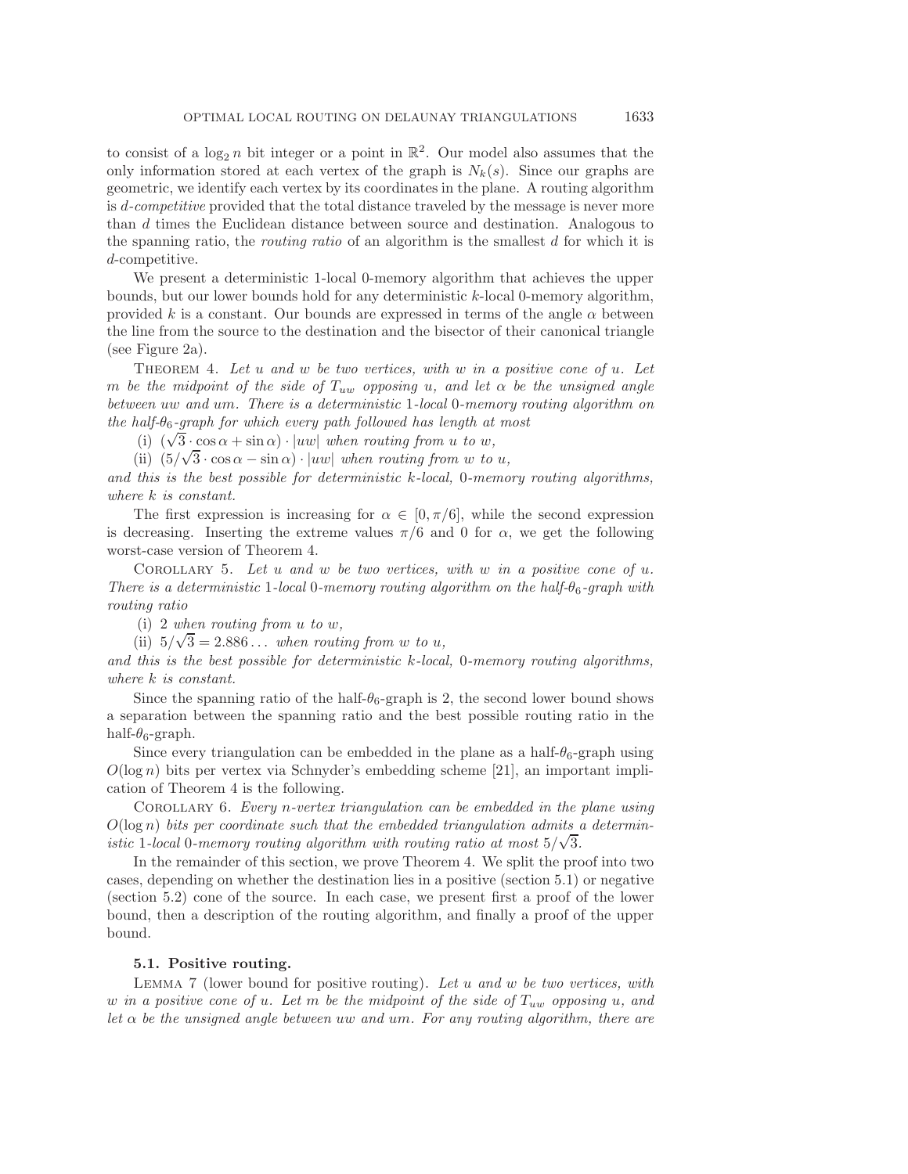to consist of a  $\log_2 n$  bit integer or a point in  $\mathbb{R}^2$ . Our model also assumes that the only information stored at each vertex of the graph is  $N_k(s)$ . Since our graphs are geometric, we identify each vertex by its coordinates in the plane. A routing algorithm is d*-competitive* provided that the total distance traveled by the message is never more than d times the Euclidean distance between source and destination. Analogous to the spanning ratio, the *routing ratio* of an algorithm is the smallest d for which it is d-competitive.

We present a deterministic 1-local 0-memory algorithm that achieves the upper bounds, but our lower bounds hold for any deterministic k-local 0-memory algorithm, provided k is a constant. Our bounds are expressed in terms of the angle  $\alpha$  between the line from the source to the destination and the bisector of their canonical triangle (see Figure [2a\)](#page-4-0).

<span id="page-7-0"></span>Theorem 4. *Let* u *and* w *be two vertices, with* w *in a positive cone of* u*. Let* m *be the midpoint of the side of*  $T_{uw}$  *opposing* u, and let  $\alpha$  *be the unsigned angle between* uw *and* um*. There is a deterministic* 1*-local* 0*-memory routing algorithm on the half-* $\theta_6$ -graph for which every path followed has length at most

(i)  $(\sqrt{3} \cdot \cos \alpha + \sin \alpha) \cdot |uw|$  when routing from u to w,

(ii)  $(5/\sqrt{3} \cdot \cos \alpha - \sin \alpha) \cdot |uw|$  *when routing from w to u*,

*and this is the best possible for deterministic* k*-local,* 0*-memory routing algorithms, where* k *is constant.*

The first expression is increasing for  $\alpha \in [0, \pi/6]$ , while the second expression is decreasing. Inserting the extreme values  $\pi/6$  and 0 for  $\alpha$ , we get the following worst-case version of Theorem [4.](#page-7-0)

Corollary 5. *Let* u *and* w *be two vertices, with* w *in a positive cone of* u*. There is a deterministic* 1*-local* 0*-memory routing algorithm on the half-*θ6*-graph with routing ratio*

(i) 2 *when routing from u to w*,

(ii)  $5/\sqrt{3} = 2.886...$  *when routing from w to u,* 

*and this is the best possible for deterministic* k*-local,* 0*-memory routing algorithms, where* k *is constant.*

Since the spanning ratio of the half- $\theta_6$ -graph is 2, the second lower bound shows a separation between the spanning ratio and the best possible routing ratio in the half- $\theta_6$ -graph.

Since every triangulation can be embedded in the plane as a half- $\theta_6$ -graph using  $O(\log n)$  bits per vertex via Schnyder's embedding scheme [\[21\]](#page-23-2), an important implication of Theorem [4](#page-7-0) is the following.

Corollary 6. *Every* n*-vertex triangulation can be embedded in the plane using*  $O(\log n)$  *bits per coordinate such that the embedded triangulation admits a deterministic* 1-local 0-memory routing algorithm with routing ratio at most  $5/\sqrt{3}$ .

In the remainder of this section, we prove Theorem [4.](#page-7-0) We split the proof into two cases, depending on whether the destination lies in a positive (section [5.1\)](#page-7-1) or negative (section [5.2\)](#page-13-0) cone of the source. In each case, we present first a proof of the lower bound, then a description of the routing algorithm, and finally a proof of the upper bound.

### <span id="page-7-1"></span>**5.1. Positive routing.**

<span id="page-7-2"></span>Lemma 7 (lower bound for positive routing). *Let* u *and* w *be two vertices, with* w *in a positive cone of* u*. Let* m *be the midpoint of the side of* Tuw *opposing* u*, and let* α *be the unsigned angle between* uw *and* um*. For any routing algorithm, there are*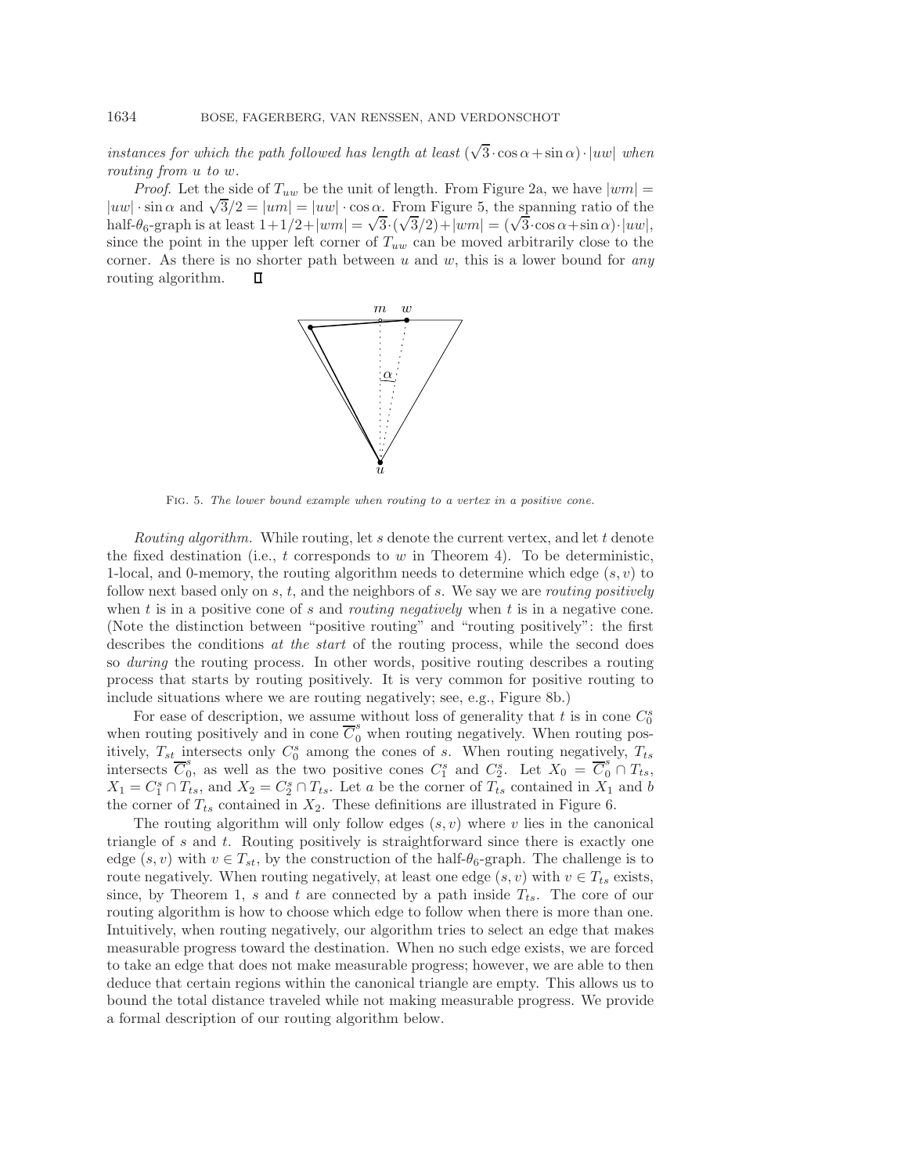*instances for which the path followed has length at least*  $(\sqrt{3} \cdot \cos \alpha + \sin \alpha) \cdot |uw|$  *when routing from* u *to* w*.*

<span id="page-8-0"></span>*Proof.* Let the side of  $T_{uw}$  be the unit of length. From Figure [2a,](#page-4-0) we have  $|wm| =$ *Froof.* Let the side of  $I_{uw}$  be the unit of length. From Figure 2a, we have  $|wm| = |uw| \cdot \sin \alpha$  and  $\sqrt{3}/2 = |um| = |uw| \cdot \cos \alpha$ . From Figure [5,](#page-8-0) the spanning ratio of the  $|uw| \cdot \sin \alpha$  and  $\sqrt{3}/2 = |u m| = |uw| \cdot \cos \alpha$ . From Figure 3, the spanning ratio of the half- $\theta_6$ -graph is at least  $1 + 1/2 + |wm| = \sqrt{3} \cdot (\sqrt{3}/2) + |wm| = (\sqrt{3} \cdot \cos \alpha + \sin \alpha) \cdot |uw|$ , since the point in the upper left corner of  $T_{uw}$  can be moved arbitrarily close to the corner. As there is no shorter path between u and w, this is a lower bound for *any* routing algorithm.  $\Box$ 



Fig. 5. *The lower bound example when routing to a vertex in a positive cone.*

*Routing algorithm.* While routing, let s denote the current vertex, and let t denote the fixed destination (i.e.,  $t$  corresponds to  $w$  in Theorem [4\)](#page-7-0). To be deterministic, 1-local, and 0-memory, the routing algorithm needs to determine which edge  $(s, v)$  to follow next based only on s, t, and the neighbors of s. We say we are *routing positively* when t is in a positive cone of s and *routing negatively* when t is in a negative cone. (Note the distinction between "positive routing" and "routing positively": the first describes the conditions *at the start* of the routing process, while the second does so *during* the routing process. In other words, positive routing describes a routing process that starts by routing positively. It is very common for positive routing to include situations where we are routing negatively; see, e.g., Figure [8b](#page-11-0).)

For ease of description, we assume without loss of generality that t is in cone  $C_0^s$ when routing positively and in cone  $\overline{C}_0^s$  when routing negatively. When routing positively,  $T_{st}$  intersects only  $C_0^s$  among the cones of s. When routing negatively,  $T_{ts}$ intersects  $\overline{C}_0^s$ , as well as the two positive cones  $C_1^s$  and  $C_2^s$ . Let  $X_0 = \overline{C}_0^s \cap T_{ts}$ ,  $X_1 = C_1^s \cap T_{ts}$ , and  $X_2 = C_2^s \cap T_{ts}$ . Let a be the corner of  $T_{ts}$  contained in  $X_1$  and b the corner of  $T_{ts}$  contained in  $X_2$ . These definitions are illustrated in Figure [6.](#page-9-0)

The routing algorithm will only follow edges  $(s, v)$  where v lies in the canonical triangle of s and t. Routing positively is straightforward since there is exactly one edge  $(s, v)$  with  $v \in T_{st}$ , by the construction of the half- $\theta_6$ -graph. The challenge is to route negatively. When routing negatively, at least one edge  $(s, v)$  with  $v \in T_{ts}$  exists, since, by Theorem [1,](#page-3-0) s and t are connected by a path inside  $T_{ts}$ . The core of our routing algorithm is how to choose which edge to follow when there is more than one. Intuitively, when routing negatively, our algorithm tries to select an edge that makes measurable progress toward the destination. When no such edge exists, we are forced to take an edge that does not make measurable progress; however, we are able to then deduce that certain regions within the canonical triangle are empty. This allows us to bound the total distance traveled while not making measurable progress. We provide a formal description of our routing algorithm below.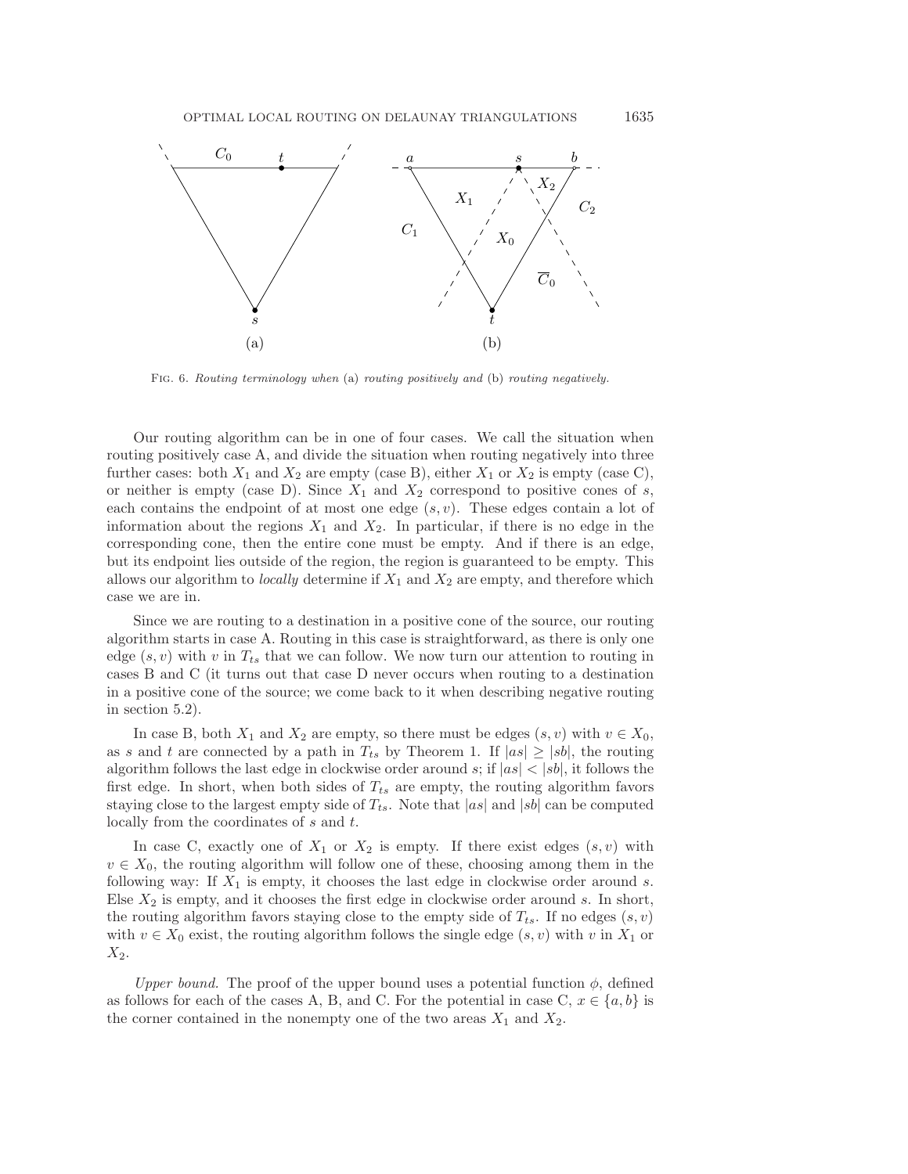<span id="page-9-0"></span>

Fig. 6. *Routing terminology when* (a) *routing positively and* (b) *routing negatively.*

Our routing algorithm can be in one of four cases. We call the situation when routing positively case A, and divide the situation when routing negatively into three further cases: both  $X_1$  and  $X_2$  are empty (case B), either  $X_1$  or  $X_2$  is empty (case C), or neither is empty (case D). Since  $X_1$  and  $X_2$  correspond to positive cones of s, each contains the endpoint of at most one edge  $(s, v)$ . These edges contain a lot of information about the regions  $X_1$  and  $X_2$ . In particular, if there is no edge in the corresponding cone, then the entire cone must be empty. And if there is an edge, but its endpoint lies outside of the region, the region is guaranteed to be empty. This allows our algorithm to *locally* determine if  $X_1$  and  $X_2$  are empty, and therefore which case we are in.

Since we are routing to a destination in a positive cone of the source, our routing algorithm starts in case A. Routing in this case is straightforward, as there is only one edge  $(s, v)$  with v in  $T_{ts}$  that we can follow. We now turn our attention to routing in cases B and C (it turns out that case D never occurs when routing to a destination in a positive cone of the source; we come back to it when describing negative routing in section [5.2\)](#page-13-0).

In case B, both  $X_1$  and  $X_2$  are empty, so there must be edges  $(s, v)$  with  $v \in X_0$ , as s and t are connected by a path in  $T_{ts}$  by Theorem [1.](#page-3-0) If  $|as| \ge |sb|$ , the routing algorithm follows the last edge in clockwise order around s; if  $|as| < |sb|$ , it follows the first edge. In short, when both sides of  $T_{ts}$  are empty, the routing algorithm favors staying close to the largest empty side of  $T_{ts}$ . Note that  $|as|$  and  $|sb|$  can be computed locally from the coordinates of s and t.

In case C, exactly one of  $X_1$  or  $X_2$  is empty. If there exist edges  $(s, v)$  with  $v \in X_0$ , the routing algorithm will follow one of these, choosing among them in the following way: If  $X_1$  is empty, it chooses the last edge in clockwise order around s. Else  $X_2$  is empty, and it chooses the first edge in clockwise order around s. In short, the routing algorithm favors staying close to the empty side of  $T_{ts}$ . If no edges  $(s, v)$ with  $v \in X_0$  exist, the routing algorithm follows the single edge  $(s, v)$  with v in  $X_1$  or  $X_2$ .

*Upper bound.* The proof of the upper bound uses a potential function  $\phi$ , defined as follows for each of the cases A, B, and C. For the potential in case C,  $x \in \{a, b\}$  is the corner contained in the nonempty one of the two areas  $X_1$  and  $X_2$ .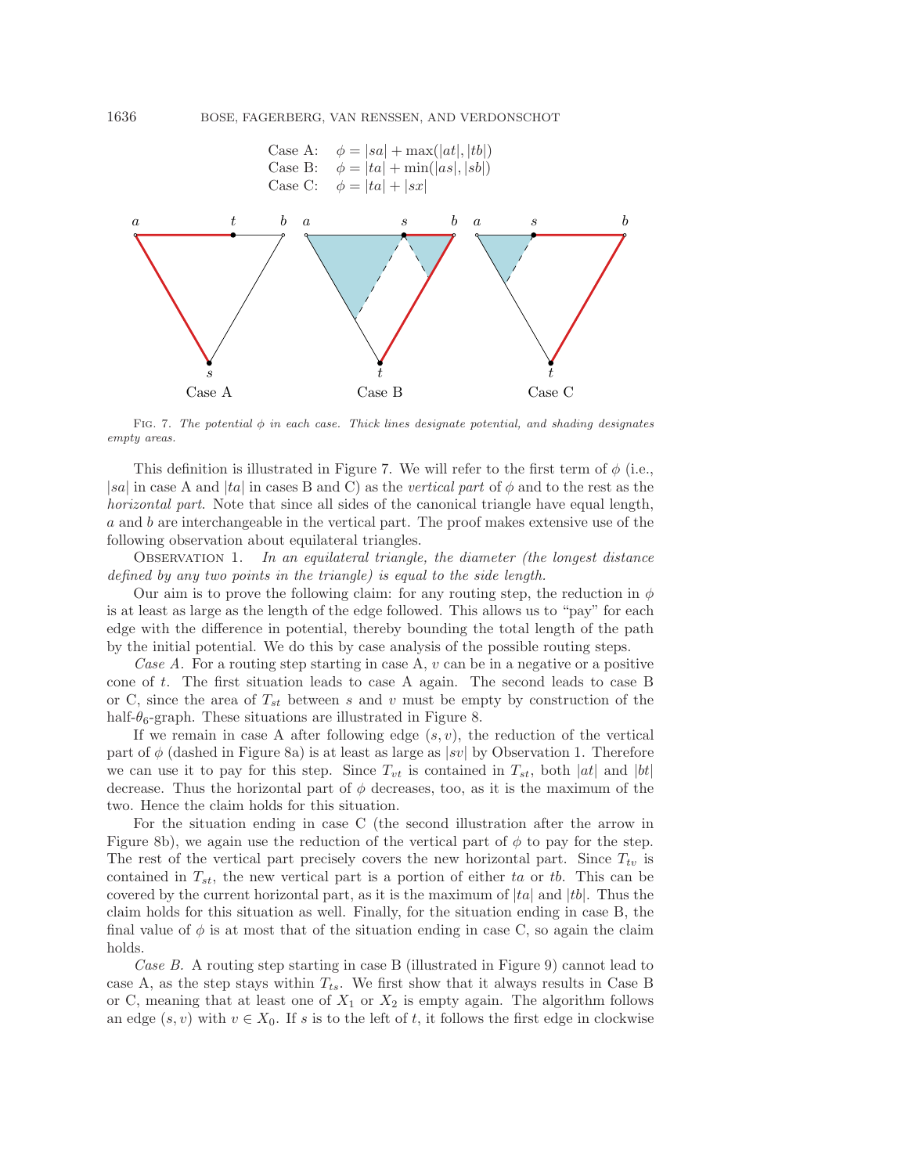<span id="page-10-0"></span>

FIG. 7. The potential  $\phi$  in each case. Thick lines designate potential, and shading designates *empty areas.*

This definition is illustrated in Figure [7.](#page-10-0) We will refer to the first term of  $\phi$  (i.e., |sa| in case A and  $|ta|$  in cases B and C) as the *vertical part* of  $\phi$  and to the rest as the *horizontal part*. Note that since all sides of the canonical triangle have equal length, a and b are interchangeable in the vertical part. The proof makes extensive use of the following observation about equilateral triangles.

<span id="page-10-1"></span>Observation 1. *In an equilateral triangle, the diameter (the longest distance defined by any two points in the triangle) is equal to the side length.*

Our aim is to prove the following claim: for any routing step, the reduction in  $\phi$ is at least as large as the length of the edge followed. This allows us to "pay" for each edge with the difference in potential, thereby bounding the total length of the path by the initial potential. We do this by case analysis of the possible routing steps.

*Case A.* For a routing step starting in case A, v can be in a negative or a positive cone of t. The first situation leads to case A again. The second leads to case B or C, since the area of  $T_{st}$  between s and v must be empty by construction of the half- $\theta_6$ -graph. These situations are illustrated in Figure [8.](#page-11-0)

If we remain in case A after following edge  $(s, v)$ , the reduction of the vertical part of  $\phi$  (dashed in Figure [8a](#page-11-0)) is at least as large as |sv| by Observation [1.](#page-10-1) Therefore we can use it to pay for this step. Since  $T_{vt}$  is contained in  $T_{st}$ , both |at| and |bt| decrease. Thus the horizontal part of  $\phi$  decreases, too, as it is the maximum of the two. Hence the claim holds for this situation.

For the situation ending in case C (the second illustration after the arrow in Figure [8b](#page-11-0)), we again use the reduction of the vertical part of  $\phi$  to pay for the step. The rest of the vertical part precisely covers the new horizontal part. Since  $T_{tv}$  is contained in  $T_{st}$ , the new vertical part is a portion of either ta or tb. This can be covered by the current horizontal part, as it is the maximum of  $|ta|$  and  $|tb|$ . Thus the claim holds for this situation as well. Finally, for the situation ending in case B, the final value of  $\phi$  is at most that of the situation ending in case C, so again the claim holds.

*Case B.* A routing step starting in case B (illustrated in Figure [9\)](#page-11-1) cannot lead to case A, as the step stays within  $T_{ts}$ . We first show that it always results in Case B or C, meaning that at least one of  $X_1$  or  $X_2$  is empty again. The algorithm follows an edge  $(s, v)$  with  $v \in X_0$ . If s is to the left of t, it follows the first edge in clockwise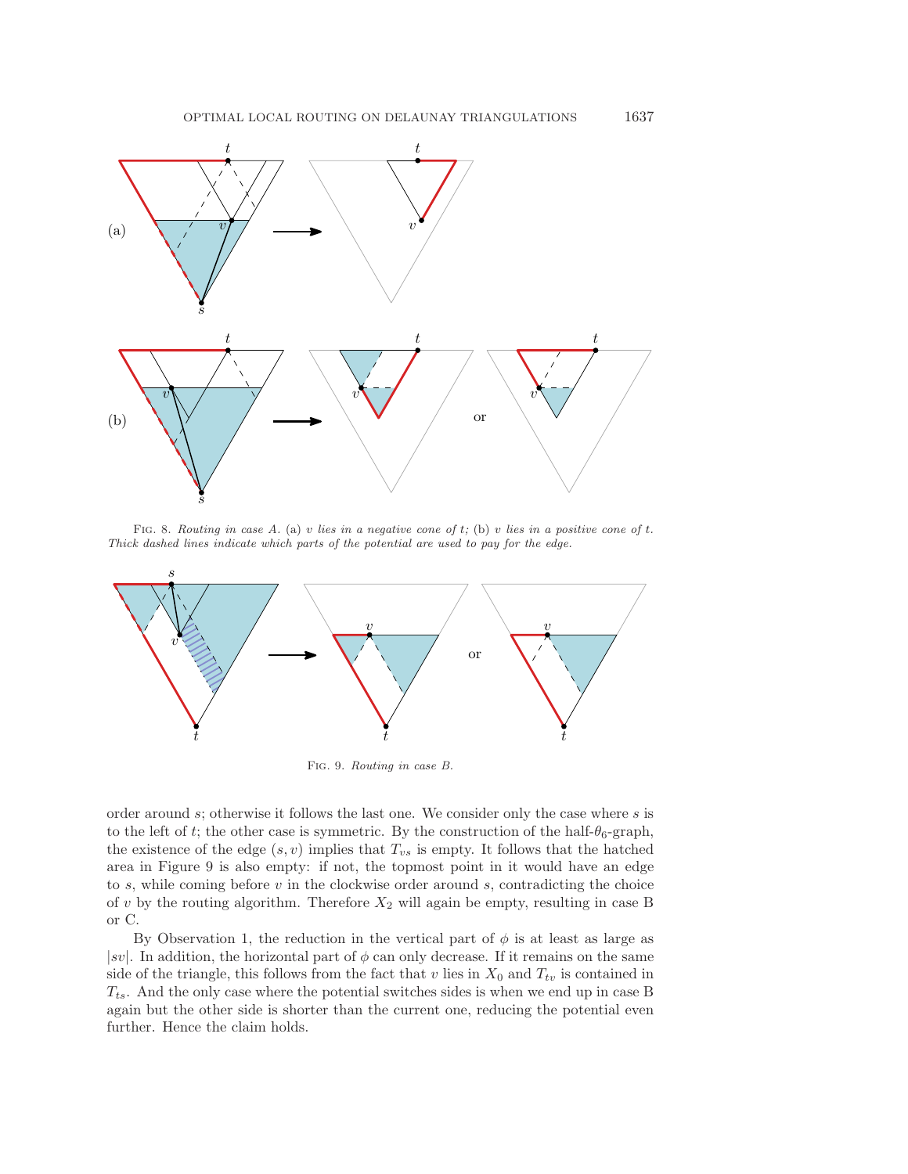<span id="page-11-0"></span>

Fig. 8. *Routing in case A.* (a) v *lies in a negative cone of* t*;* (b) v *lies in a positive cone of* t*. Thick dashed lines indicate which parts of the potential are used to pay for the edge.*

<span id="page-11-1"></span>

Fig. 9. *Routing in case B.*

order around s; otherwise it follows the last one. We consider only the case where s is to the left of t; the other case is symmetric. By the construction of the half- $\theta_6$ -graph, the existence of the edge  $(s, v)$  implies that  $T_{vs}$  is empty. It follows that the hatched area in Figure [9](#page-11-1) is also empty: if not, the topmost point in it would have an edge to  $s$ , while coming before  $v$  in the clockwise order around  $s$ , contradicting the choice of  $v$  by the routing algorithm. Therefore  $X_2$  will again be empty, resulting in case B or C.

By Observation [1,](#page-10-1) the reduction in the vertical part of  $\phi$  is at least as large as  $|sv|$ . In addition, the horizontal part of  $\phi$  can only decrease. If it remains on the same side of the triangle, this follows from the fact that v lies in  $X_0$  and  $T_{tv}$  is contained in  $T_{ts}$ . And the only case where the potential switches sides is when we end up in case B again but the other side is shorter than the current one, reducing the potential even further. Hence the claim holds.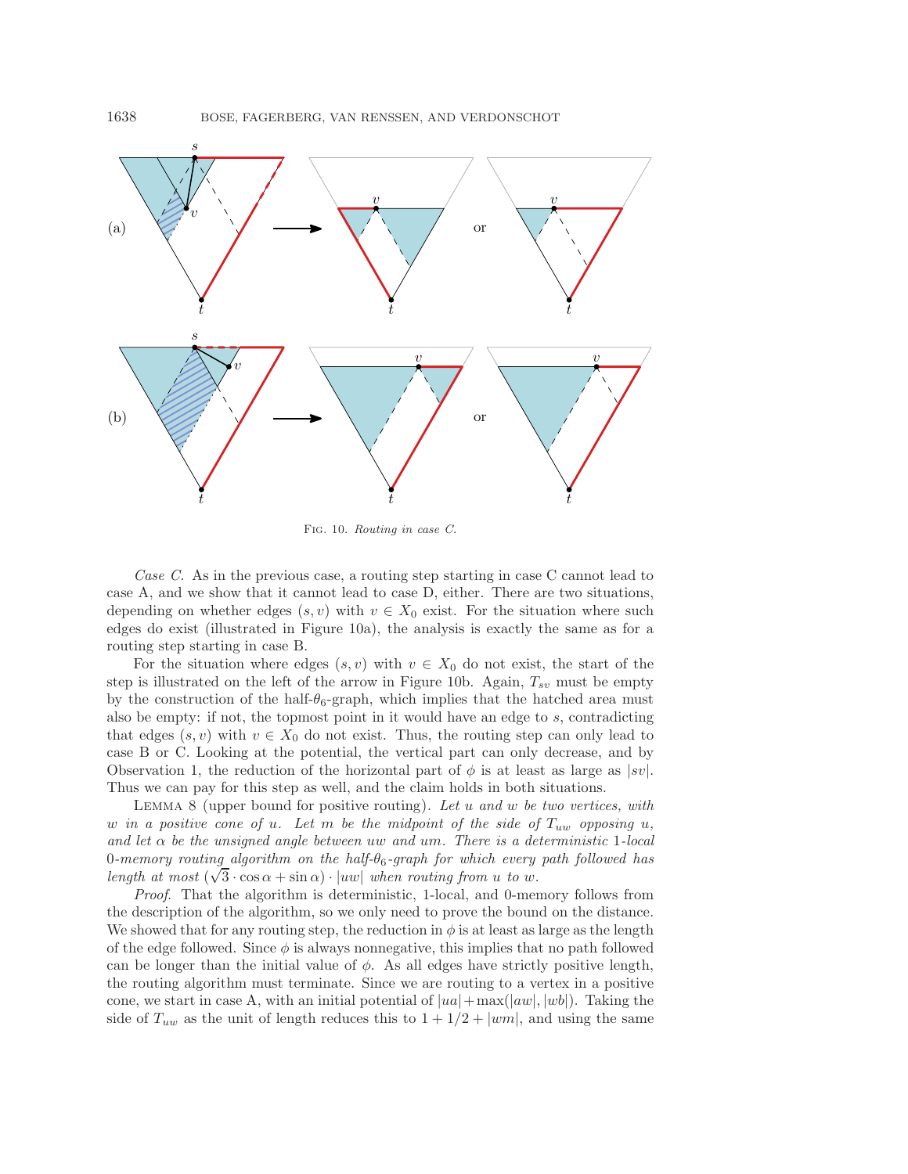

Fig. 10. *Routing in case C.*

*Case C.* As in the previous case, a routing step starting in case C cannot lead to case A, and we show that it cannot lead to case D, either. There are two situations, depending on whether edges  $(s, v)$  with  $v \in X_0$  exist. For the situation where such edges do exist (illustrated in Figure [10a](#page-12-0)), the analysis is exactly the same as for a routing step starting in case B.

For the situation where edges  $(s, v)$  with  $v \in X_0$  do not exist, the start of the step is illustrated on the left of the arrow in Figure [10b](#page-12-0). Again,  $T_{sv}$  must be empty by the construction of the half- $\theta_6$ -graph, which implies that the hatched area must also be empty: if not, the topmost point in it would have an edge to s, contradicting that edges  $(s, v)$  with  $v \in X_0$  do not exist. Thus, the routing step can only lead to case B or C. Looking at the potential, the vertical part can only decrease, and by Observation [1,](#page-10-1) the reduction of the horizontal part of  $\phi$  is at least as large as  $|sv|$ . Thus we can pay for this step as well, and the claim holds in both situations.

<span id="page-12-1"></span>Lemma 8 (upper bound for positive routing). *Let* u *and* w *be two vertices, with*  $w$  *in a positive cone of*  $u$ *. Let*  $m$  *be the midpoint of the side of*  $T_{uw}$  *opposing*  $u$ *, and let* α *be the unsigned angle between* uw *and* um*. There is a deterministic* 1*-local* 0*-memory routing algorithm on the half-*θ6*-graph for which every path followed has length at most* ( $\sqrt{3} \cdot \cos \alpha + \sin \alpha$ ) ·  $|uw|$  *when routing from u to w.* 

*Proof*. That the algorithm is deterministic, 1-local, and 0-memory follows from the description of the algorithm, so we only need to prove the bound on the distance. We showed that for any routing step, the reduction in  $\phi$  is at least as large as the length of the edge followed. Since  $\phi$  is always nonnegative, this implies that no path followed can be longer than the initial value of  $\phi$ . As all edges have strictly positive length, the routing algorithm must terminate. Since we are routing to a vertex in a positive cone, we start in case A, with an initial potential of  $|ua| + \max(|aw|, |wb|)$ . Taking the side of  $T_{uw}$  as the unit of length reduces this to  $1 + 1/2 + |wm|$ , and using the same

<span id="page-12-0"></span>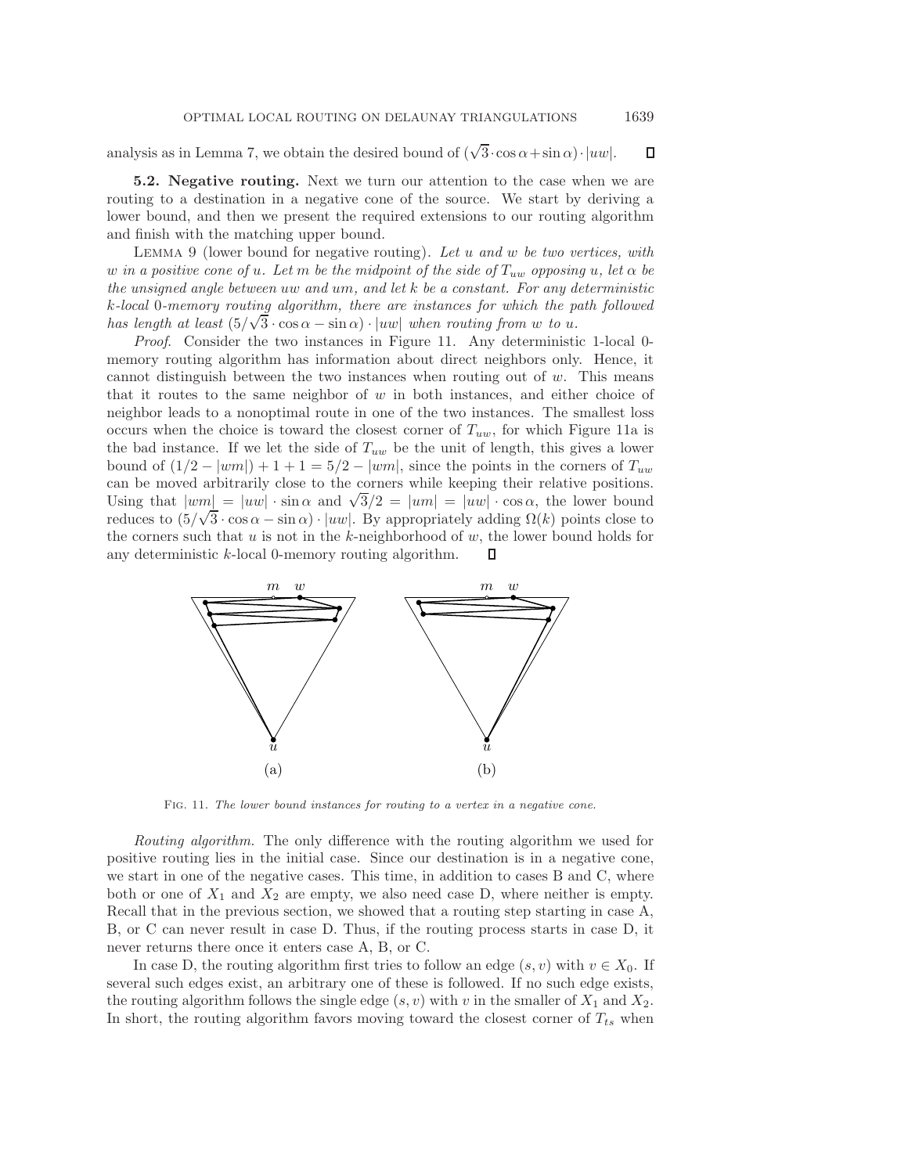analysis as in Lemma [7,](#page-7-2) we obtain the desired bound of  $(\sqrt{3} \cdot \cos \alpha + \sin \alpha) \cdot |uw|$ .  $\Box$ 

<span id="page-13-0"></span>**5.2. Negative routing.** Next we turn our attention to the case when we are routing to a destination in a negative cone of the source. We start by deriving a lower bound, and then we present the required extensions to our routing algorithm and finish with the matching upper bound.

<span id="page-13-2"></span>Lemma 9 (lower bound for negative routing). *Let* u *and* w *be two vertices, with* w in a positive cone of u. Let m be the midpoint of the side of  $T_{uw}$  opposing u, let  $\alpha$  be *the unsigned angle between* uw *and* um*, and let* k *be a constant. For any deterministic* k*-local* 0*-memory routing algorithm, there are instances for which the path followed* √ *has length at least*  $(5/\sqrt{3} \cdot \cos \alpha - \sin \alpha) \cdot |uw|$  *when routing from w to u.* 

*Proof*. Consider the two instances in Figure [11.](#page-13-1) Any deterministic 1-local 0 memory routing algorithm has information about direct neighbors only. Hence, it cannot distinguish between the two instances when routing out of  $w$ . This means that it routes to the same neighbor of  $w$  in both instances, and either choice of neighbor leads to a nonoptimal route in one of the two instances. The smallest loss occurs when the choice is toward the closest corner of  $T_{uw}$ , for which Figure [11a](#page-13-1) is the bad instance. If we let the side of  $T_{uw}$  be the unit of length, this gives a lower bound of  $(1/2 - |wm|) + 1 + 1 = 5/2 - |wm|$ , since the points in the corners of  $T_{uw}$ can be moved arbitrarily close to the corners while keeping their relative positions. Using that  $|wm| = |uw| \cdot \sin \alpha$  and  $\sqrt{3}/2 = |um| = |uw| \cdot \cos \alpha$ , the lower bound vsing that  $|wm| = |uw| \cdot \sin \alpha$  and  $\sqrt{3}/2 = |um| = |uw| \cdot \cos \alpha$ , the lower bound<br>reduces to  $(5/\sqrt{3} \cdot \cos \alpha - \sin \alpha) \cdot |uw|$ . By appropriately adding  $\Omega(k)$  points close to the corners such that  $u$  is not in the  $k$ -neighborhood of  $w$ , the lower bound holds for any deterministic k-local 0-memory routing algorithm. П

<span id="page-13-1"></span>

Fig. 11. *The lower bound instances for routing to a vertex in a negative cone.*

*Routing algorithm.* The only difference with the routing algorithm we used for positive routing lies in the initial case. Since our destination is in a negative cone, we start in one of the negative cases. This time, in addition to cases B and C, where both or one of  $X_1$  and  $X_2$  are empty, we also need case D, where neither is empty. Recall that in the previous section, we showed that a routing step starting in case A, B, or C can never result in case D. Thus, if the routing process starts in case D, it never returns there once it enters case A, B, or C.

In case D, the routing algorithm first tries to follow an edge  $(s, v)$  with  $v \in X_0$ . If several such edges exist, an arbitrary one of these is followed. If no such edge exists, the routing algorithm follows the single edge  $(s, v)$  with v in the smaller of  $X_1$  and  $X_2$ . In short, the routing algorithm favors moving toward the closest corner of  $T_{ts}$  when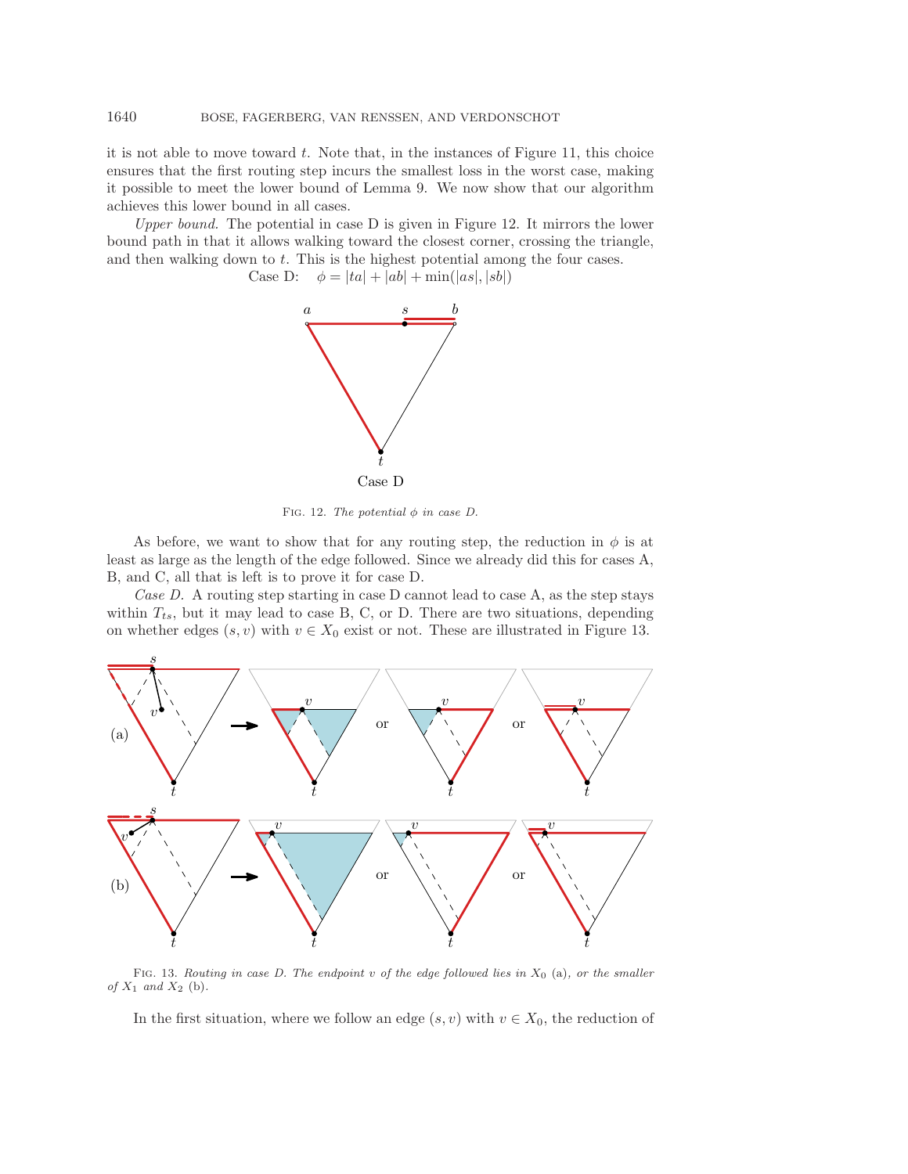it is not able to move toward  $t$ . Note that, in the instances of Figure [11,](#page-13-1) this choice ensures that the first routing step incurs the smallest loss in the worst case, making it possible to meet the lower bound of Lemma [9.](#page-13-2) We now show that our algorithm achieves this lower bound in all cases.

<span id="page-14-0"></span>*Upper bound.* The potential in case D is given in Figure [12.](#page-14-0) It mirrors the lower bound path in that it allows walking toward the closest corner, crossing the triangle, and then walking down to  $t$ . This is the highest potential among the four cases.

Case D:  $\phi = |ta| + |ab| + \min(|as|, |sb|)$ 



FIG. 12. *The potential*  $\phi$  *in case D.* 

As before, we want to show that for any routing step, the reduction in  $\phi$  is at least as large as the length of the edge followed. Since we already did this for cases A, B, and C, all that is left is to prove it for case D.

*Case D.* A routing step starting in case D cannot lead to case A, as the step stays within  $T_{ts}$ , but it may lead to case B, C, or D. There are two situations, depending on whether edges  $(s, v)$  with  $v \in X_0$  exist or not. These are illustrated in Figure [13.](#page-14-1)

<span id="page-14-1"></span>

Fig. 13. *Routing in case D. The endpoint* v *of the edge followed lies in* X<sup>0</sup> (a)*, or the smaller of* X<sup>1</sup> *and* X<sup>2</sup> (b)*.*

In the first situation, where we follow an edge  $(s, v)$  with  $v \in X_0$ , the reduction of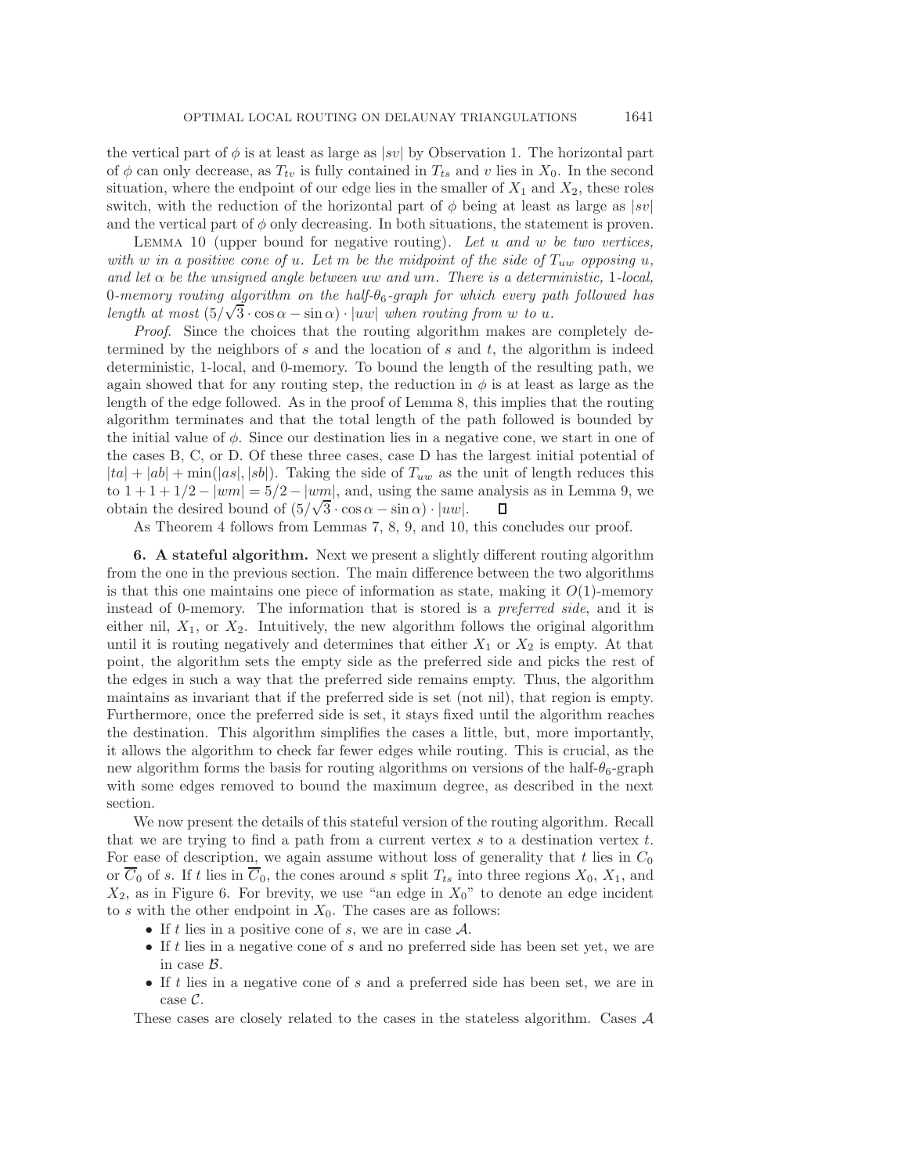the vertical part of  $\phi$  is at least as large as |sv| by Observation [1.](#page-10-1) The horizontal part of  $\phi$  can only decrease, as  $T_{tv}$  is fully contained in  $T_{ts}$  and v lies in  $X_0$ . In the second situation, where the endpoint of our edge lies in the smaller of  $X_1$  and  $X_2$ , these roles switch, with the reduction of the horizontal part of  $\phi$  being at least as large as  $|sv|$ and the vertical part of  $\phi$  only decreasing. In both situations, the statement is proven.

<span id="page-15-0"></span>Lemma 10 (upper bound for negative routing). *Let* u *and* w *be two vertices, with* w in a positive cone of u. Let m be the midpoint of the side of  $T_{uw}$  opposing u, *and let* α *be the unsigned angle between* uw *and* um*. There is a deterministic,* 1*-local,* 0*-memory routing algorithm on the half-*θ6*-graph for which every path followed has length at most* ( $5/\sqrt{3} \cdot \cos \alpha - \sin \alpha$ ) ·  $|uw|$  *when routing from w to* u.

*Proof*. Since the choices that the routing algorithm makes are completely determined by the neighbors of  $s$  and the location of  $s$  and  $t$ , the algorithm is indeed deterministic, 1-local, and 0-memory. To bound the length of the resulting path, we again showed that for any routing step, the reduction in  $\phi$  is at least as large as the length of the edge followed. As in the proof of Lemma [8,](#page-12-1) this implies that the routing algorithm terminates and that the total length of the path followed is bounded by the initial value of  $\phi$ . Since our destination lies in a negative cone, we start in one of the cases B, C, or D. Of these three cases, case D has the largest initial potential of  $|ta| + |ab| + \min(|as|, |sb|)$ . Taking the side of  $T_{uw}$  as the unit of length reduces this to  $1 + 1 + 1/2 - |wm| = 5/2 - |wm|$ , and, using the same analysis as in Lemma [9,](#page-13-2) we obtain the desired bound of  $(5/\sqrt{3} \cdot \cos \alpha - \sin \alpha) \cdot |uw|$ . П

As Theorem [4](#page-7-0) follows from Lemmas [7,](#page-7-2) [8,](#page-12-1) [9,](#page-13-2) and [10,](#page-15-0) this concludes our proof.

<span id="page-15-1"></span>**6. A stateful algorithm.** Next we present a slightly different routing algorithm from the one in the previous section. The main difference between the two algorithms is that this one maintains one piece of information as state, making it  $O(1)$ -memory instead of 0-memory. The information that is stored is a *preferred side*, and it is either nil,  $X_1$ , or  $X_2$ . Intuitively, the new algorithm follows the original algorithm until it is routing negatively and determines that either  $X_1$  or  $X_2$  is empty. At that point, the algorithm sets the empty side as the preferred side and picks the rest of the edges in such a way that the preferred side remains empty. Thus, the algorithm maintains as invariant that if the preferred side is set (not nil), that region is empty. Furthermore, once the preferred side is set, it stays fixed until the algorithm reaches the destination. This algorithm simplifies the cases a little, but, more importantly, it allows the algorithm to check far fewer edges while routing. This is crucial, as the new algorithm forms the basis for routing algorithms on versions of the half- $\theta_6$ -graph with some edges removed to bound the maximum degree, as described in the next section.

We now present the details of this stateful version of the routing algorithm. Recall that we are trying to find a path from a current vertex  $s$  to a destination vertex  $t$ . For ease of description, we again assume without loss of generality that  $t$  lies in  $C_0$ or  $\overline{C}_0$  of s. If t lies in  $\overline{C}_0$ , the cones around s split  $T_{ts}$  into three regions  $X_0, X_1$ , and  $X_2$ , as in Figure [6.](#page-9-0) For brevity, we use "an edge in  $X_0$ " to denote an edge incident to s with the other endpoint in  $X_0$ . The cases are as follows:

- If t lies in a positive cone of s, we are in case  $\mathcal{A}$ .
- If  $t$  lies in a negative cone of  $s$  and no preferred side has been set yet, we are in case B.
- If t lies in a negative cone of s and a preferred side has been set, we are in case C.

These cases are closely related to the cases in the stateless algorithm. Cases A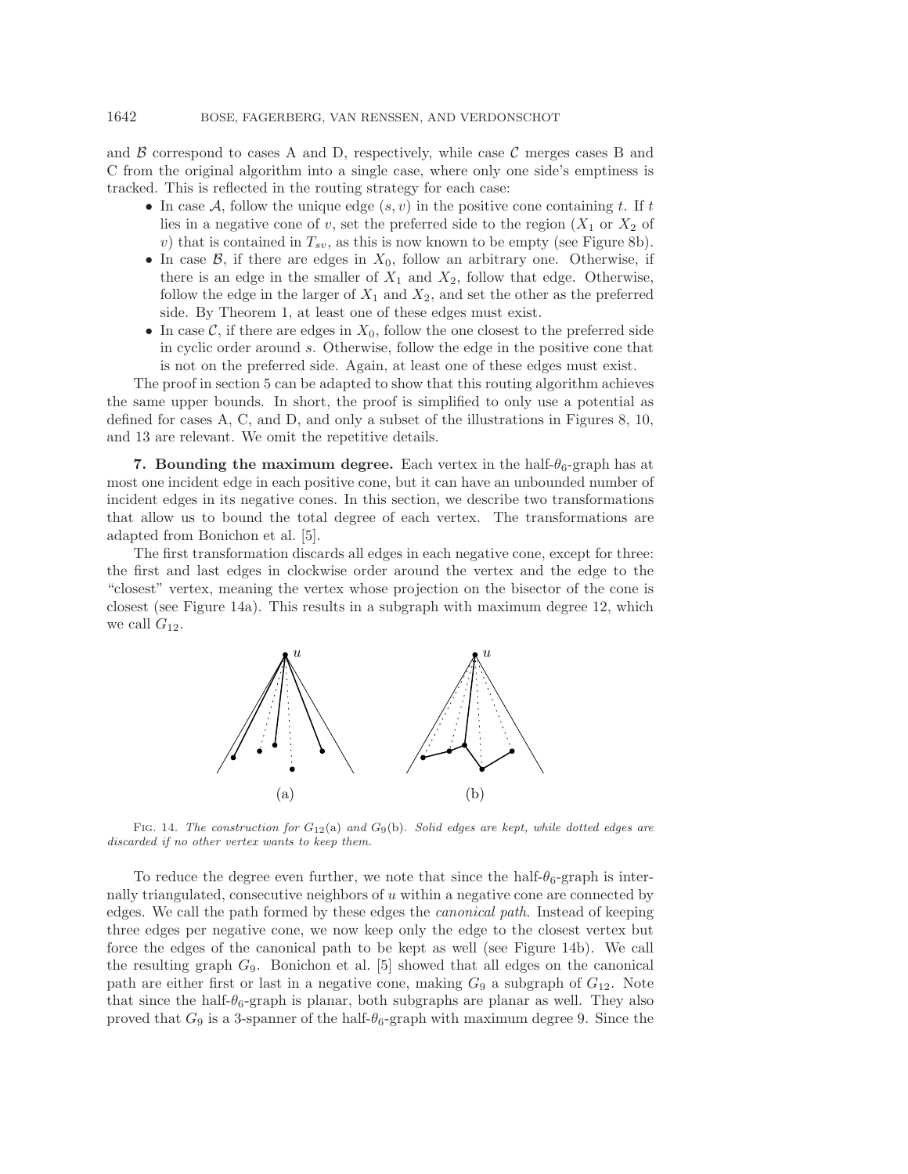and  $\beta$  correspond to cases A and D, respectively, while case  $\beta$  merges cases B and C from the original algorithm into a single case, where only one side's emptiness is tracked. This is reflected in the routing strategy for each case:

- In case A, follow the unique edge  $(s, v)$  in the positive cone containing t. If t lies in a negative cone of v, set the preferred side to the region  $(X_1 \text{ or } X_2 \text{ of }$ v) that is contained in  $T_{sv}$ , as this is now known to be empty (see Figure [8b](#page-11-0)).
- In case  $\mathcal{B}$ , if there are edges in  $X_0$ , follow an arbitrary one. Otherwise, if there is an edge in the smaller of  $X_1$  and  $X_2$ , follow that edge. Otherwise, follow the edge in the larger of  $X_1$  and  $X_2$ , and set the other as the preferred side. By Theorem [1,](#page-3-0) at least one of these edges must exist.
- In case  $\mathcal{C}$ , if there are edges in  $X_0$ , follow the one closest to the preferred side in cyclic order around s. Otherwise, follow the edge in the positive cone that is not on the preferred side. Again, at least one of these edges must exist.

The proof in section [5](#page-6-0) can be adapted to show that this routing algorithm achieves the same upper bounds. In short, the proof is simplified to only use a potential as defined for cases A, C, and D, and only a subset of the illustrations in Figures [8,](#page-11-0) [10,](#page-12-0) and [13](#page-14-1) are relevant. We omit the repetitive details.

**7. Bounding the maximum degree.** Each vertex in the half- $\theta_6$ -graph has at most one incident edge in each positive cone, but it can have an unbounded number of incident edges in its negative cones. In this section, we describe two transformations that allow us to bound the total degree of each vertex. The transformations are adapted from Bonichon et al. [\[5\]](#page-22-12).

<span id="page-16-0"></span>The first transformation discards all edges in each negative cone, except for three: the first and last edges in clockwise order around the vertex and the edge to the "closest" vertex, meaning the vertex whose projection on the bisector of the cone is closest (see Figure [14a](#page-16-0)). This results in a subgraph with maximum degree 12, which we call  $G_{12}$ .



Fig. 14. *The construction for* G12(a) *and* G9(b)*. Solid edges are kept, while dotted edges are discarded if no other vertex wants to keep them.*

To reduce the degree even further, we note that since the half- $\theta_6$ -graph is internally triangulated, consecutive neighbors of  $u$  within a negative cone are connected by edges. We call the path formed by these edges the *canonical path*. Instead of keeping three edges per negative cone, we now keep only the edge to the closest vertex but force the edges of the canonical path to be kept as well (see Figure [14b](#page-16-0)). We call the resulting graph  $G_9$ . Bonichon et al. [\[5\]](#page-22-12) showed that all edges on the canonical path are either first or last in a negative cone, making  $G_9$  a subgraph of  $G_{12}$ . Note that since the half- $\theta_6$ -graph is planar, both subgraphs are planar as well. They also proved that  $G_9$  is a 3-spanner of the half- $\theta_6$ -graph with maximum degree 9. Since the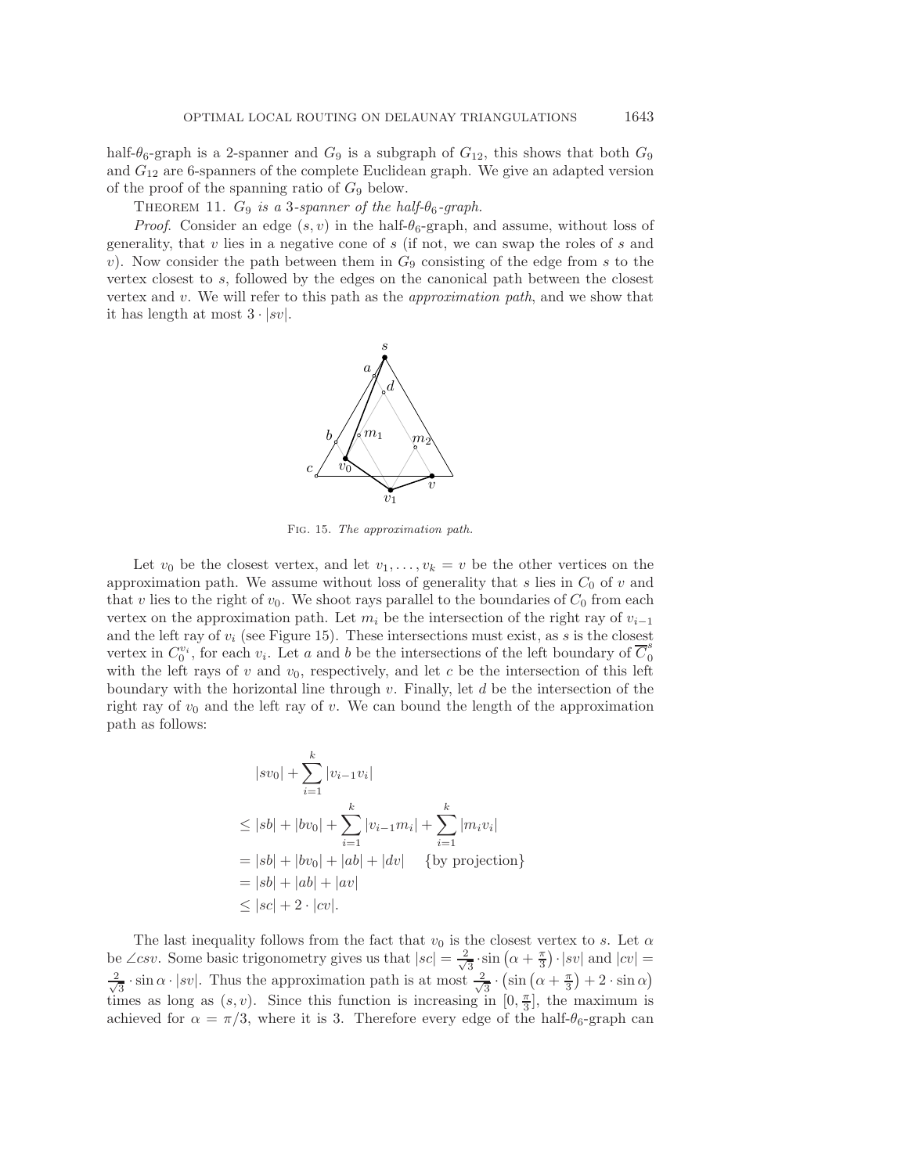half- $\theta_6$ -graph is a 2-spanner and  $G_9$  is a subgraph of  $G_{12}$ , this shows that both  $G_9$ and  $G_{12}$  are 6-spanners of the complete Euclidean graph. We give an adapted version of the proof of the spanning ratio of  $G_9$  below.

<span id="page-17-1"></span>THEOREM 11.  $G_9$  *is a* 3-spanner of the half- $\theta_6$ -graph.

<span id="page-17-0"></span>*Proof.* Consider an edge  $(s, v)$  in the half- $\theta_6$ -graph, and assume, without loss of generality, that  $v$  lies in a negative cone of  $s$  (if not, we can swap the roles of  $s$  and v). Now consider the path between them in  $G_9$  consisting of the edge from s to the vertex closest to s, followed by the edges on the canonical path between the closest vertex and v. We will refer to this path as the *approximation path*, and we show that it has length at most  $3 \cdot |sv|$ .



Fig. 15. *The approximation path.*

Let  $v_0$  be the closest vertex, and let  $v_1,\ldots,v_k = v$  be the other vertices on the approximation path. We assume without loss of generality that s lies in  $C_0$  of v and that v lies to the right of  $v_0$ . We shoot rays parallel to the boundaries of  $C_0$  from each vertex on the approximation path. Let  $m_i$  be the intersection of the right ray of  $v_{i-1}$ and the left ray of  $v_i$  (see Figure [15\)](#page-17-0). These intersections must exist, as s is the closest vertex in  $C_0^{v_i}$ , for each  $v_i$ . Let a and b be the intersections of the left boundary of  $\overline{C}_0^s$ with the left rays of v and  $v_0$ , respectively, and let c be the intersection of this left boundary with the horizontal line through v. Finally, let  $d$  be the intersection of the right ray of  $v_0$  and the left ray of v. We can bound the length of the approximation path as follows:

$$
|sv_0| + \sum_{i=1}^k |v_{i-1}v_i|
$$
  
\n
$$
\leq |sb| + |bv_0| + \sum_{i=1}^k |v_{i-1}m_i| + \sum_{i=1}^k |m_iv_i|
$$
  
\n
$$
= |sb| + |bv_0| + |ab| + |dv| \quad \text{{by projection}}
$$
  
\n
$$
= |sb| + |ab| + |av|
$$
  
\n
$$
\leq |sc| + 2 \cdot |cv|.
$$

The last inequality follows from the fact that  $v_0$  is the closest vertex to s. Let  $\alpha$ be ∠csv. Some basic trigonometry gives us that  $|sc| = \frac{2}{\sqrt{3}} \cdot \sin(\alpha + \frac{\pi}{3}) \cdot |sv|$  and  $|cv| =$  $\frac{2}{\sqrt{3}} \cdot \sin \alpha \cdot |sv|$ . Thus the approximation path is at most  $\frac{2}{\sqrt{3}} \cdot (\sin (\alpha + \frac{\pi}{3}) + 2 \cdot \sin \alpha)$ times as long as  $(s, v)$ . Since this function is increasing in  $[0, \frac{\pi}{3}]$ , the maximum is achieved for  $\alpha = \pi/3$ , where it is 3. Therefore every edge of the half- $\theta_6$ -graph can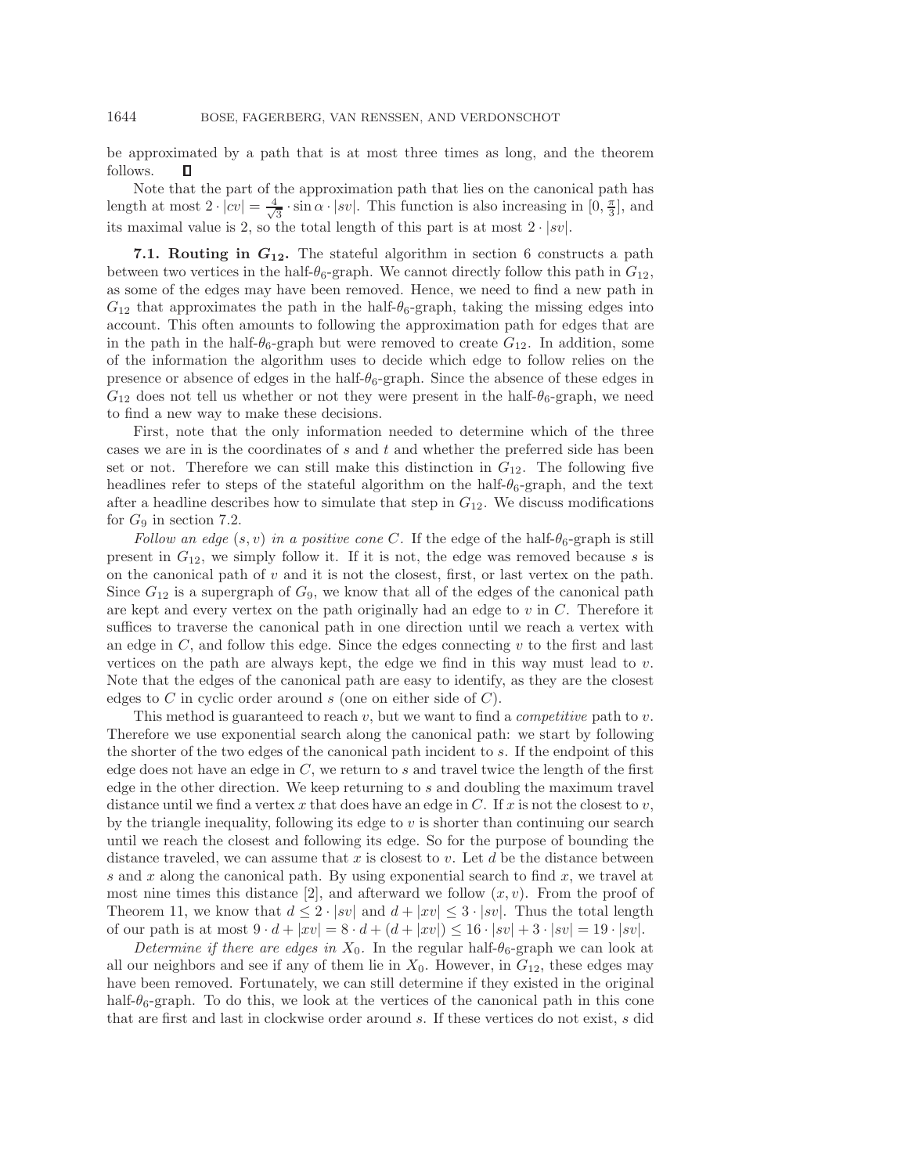be approximated by a path that is at most three times as long, and the theorem follows. П

Note that the part of the approximation path that lies on the canonical path has length at most  $2 \cdot |cv| = \frac{4}{\sqrt{3}} \cdot \sin \alpha \cdot |sv|$ . This function is also increasing in  $[0, \frac{\pi}{3}]$ , and its maximal value is 2, so the total length of this part is at most  $2 \cdot |sv|$ .

**7.1. Routing in** *G***12.** The stateful algorithm in section [6](#page-15-1) constructs a path between two vertices in the half- $\theta_6$ -graph. We cannot directly follow this path in  $G_{12}$ , as some of the edges may have been removed. Hence, we need to find a new path in  $G_{12}$  that approximates the path in the half- $\theta_6$ -graph, taking the missing edges into account. This often amounts to following the approximation path for edges that are in the path in the half- $\theta_6$ -graph but were removed to create  $G_{12}$ . In addition, some of the information the algorithm uses to decide which edge to follow relies on the presence or absence of edges in the half- $\theta_6$ -graph. Since the absence of these edges in  $G_{12}$  does not tell us whether or not they were present in the half- $\theta_6$ -graph, we need to find a new way to make these decisions.

First, note that the only information needed to determine which of the three cases we are in is the coordinates of  $s$  and  $t$  and whether the preferred side has been set or not. Therefore we can still make this distinction in  $G_{12}$ . The following five headlines refer to steps of the stateful algorithm on the half- $\theta_6$ -graph, and the text after a headline describes how to simulate that step in  $G_{12}$ . We discuss modifications for  $G_9$  in section [7.2.](#page-21-0)

*Follow an edge*  $(s, v)$  *in a positive cone C.* If the edge of the half- $\theta_6$ -graph is still present in  $G_{12}$ , we simply follow it. If it is not, the edge was removed because s is on the canonical path of  $v$  and it is not the closest, first, or last vertex on the path. Since  $G_{12}$  is a supergraph of  $G_9$ , we know that all of the edges of the canonical path are kept and every vertex on the path originally had an edge to  $v$  in  $C$ . Therefore it suffices to traverse the canonical path in one direction until we reach a vertex with an edge in  $C$ , and follow this edge. Since the edges connecting  $v$  to the first and last vertices on the path are always kept, the edge we find in this way must lead to  $v$ . Note that the edges of the canonical path are easy to identify, as they are the closest edges to  $C$  in cyclic order around  $s$  (one on either side of  $C$ ).

This method is guaranteed to reach v, but we want to find a *competitive* path to v. Therefore we use exponential search along the canonical path: we start by following the shorter of the two edges of the canonical path incident to s. If the endpoint of this edge does not have an edge in  $C$ , we return to s and travel twice the length of the first edge in the other direction. We keep returning to s and doubling the maximum travel distance until we find a vertex x that does have an edge in C. If x is not the closest to  $v$ , by the triangle inequality, following its edge to  $v$  is shorter than continuing our search until we reach the closest and following its edge. So for the purpose of bounding the distance traveled, we can assume that  $x$  is closest to  $v$ . Let  $d$  be the distance between s and x along the canonical path. By using exponential search to find x, we travel at most nine times this distance [\[2\]](#page-22-16), and afterward we follow  $(x, v)$ . From the proof of Theorem [11,](#page-17-1) we know that  $d \leq 2 \cdot |sv|$  and  $d + |xv| \leq 3 \cdot |sv|$ . Thus the total length of our path is at most  $9 \cdot d + |xv| = 8 \cdot d + (d + |xv|) \le 16 \cdot |sv| + 3 \cdot |sv| = 19 \cdot |sv|$ .

*Determine if there are edges in*  $X_0$ . In the regular half- $\theta_6$ -graph we can look at all our neighbors and see if any of them lie in  $X_0$ . However, in  $G_{12}$ , these edges may have been removed. Fortunately, we can still determine if they existed in the original half- $\theta_6$ -graph. To do this, we look at the vertices of the canonical path in this cone that are first and last in clockwise order around s. If these vertices do not exist, s did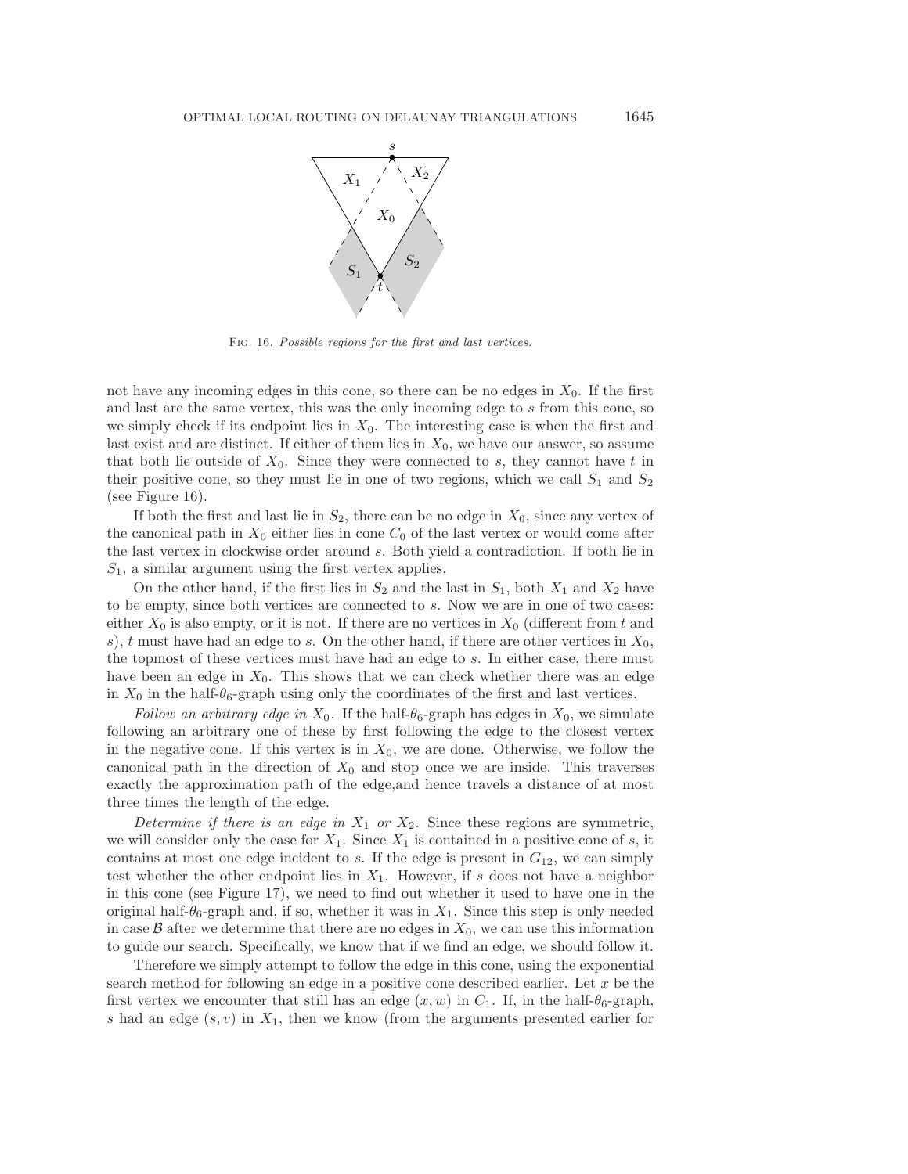<span id="page-19-0"></span>

Fig. 16. *Possible regions for the first and last vertices.*

not have any incoming edges in this cone, so there can be no edges in  $X_0$ . If the first and last are the same vertex, this was the only incoming edge to s from this cone, so we simply check if its endpoint lies in  $X_0$ . The interesting case is when the first and last exist and are distinct. If either of them lies in  $X_0$ , we have our answer, so assume that both lie outside of  $X_0$ . Since they were connected to s, they cannot have t in their positive cone, so they must lie in one of two regions, which we call  $S_1$  and  $S_2$ (see Figure [16\)](#page-19-0).

If both the first and last lie in  $S_2$ , there can be no edge in  $X_0$ , since any vertex of the canonical path in  $X_0$  either lies in cone  $C_0$  of the last vertex or would come after the last vertex in clockwise order around s. Both yield a contradiction. If both lie in  $S_1$ , a similar argument using the first vertex applies.

On the other hand, if the first lies in  $S_2$  and the last in  $S_1$ , both  $X_1$  and  $X_2$  have to be empty, since both vertices are connected to s. Now we are in one of two cases: either  $X_0$  is also empty, or it is not. If there are no vertices in  $X_0$  (different from t and s), t must have had an edge to s. On the other hand, if there are other vertices in  $X_0$ , the topmost of these vertices must have had an edge to s. In either case, there must have been an edge in  $X_0$ . This shows that we can check whether there was an edge in  $X_0$  in the half- $\theta_6$ -graph using only the coordinates of the first and last vertices.

*Follow an arbitrary edge in*  $X_0$ . If the half- $\theta_6$ -graph has edges in  $X_0$ , we simulate following an arbitrary one of these by first following the edge to the closest vertex in the negative cone. If this vertex is in  $X_0$ , we are done. Otherwise, we follow the canonical path in the direction of  $X_0$  and stop once we are inside. This traverses exactly the approximation path of the edge,and hence travels a distance of at most three times the length of the edge.

*Determine if there is an edge in*  $X_1$  *or*  $X_2$ *.* Since these regions are symmetric, we will consider only the case for  $X_1$ . Since  $X_1$  is contained in a positive cone of s, it contains at most one edge incident to s. If the edge is present in  $G_{12}$ , we can simply test whether the other endpoint lies in  $X_1$ . However, if s does not have a neighbor in this cone (see Figure [17\)](#page-20-0), we need to find out whether it used to have one in the original half- $\theta_6$ -graph and, if so, whether it was in  $X_1$ . Since this step is only needed in case  $\beta$  after we determine that there are no edges in  $X_0$ , we can use this information to guide our search. Specifically, we know that if we find an edge, we should follow it.

Therefore we simply attempt to follow the edge in this cone, using the exponential search method for following an edge in a positive cone described earlier. Let x be the first vertex we encounter that still has an edge  $(x, w)$  in  $C_1$ . If, in the half- $\theta_6$ -graph, s had an edge  $(s, v)$  in  $X_1$ , then we know (from the arguments presented earlier for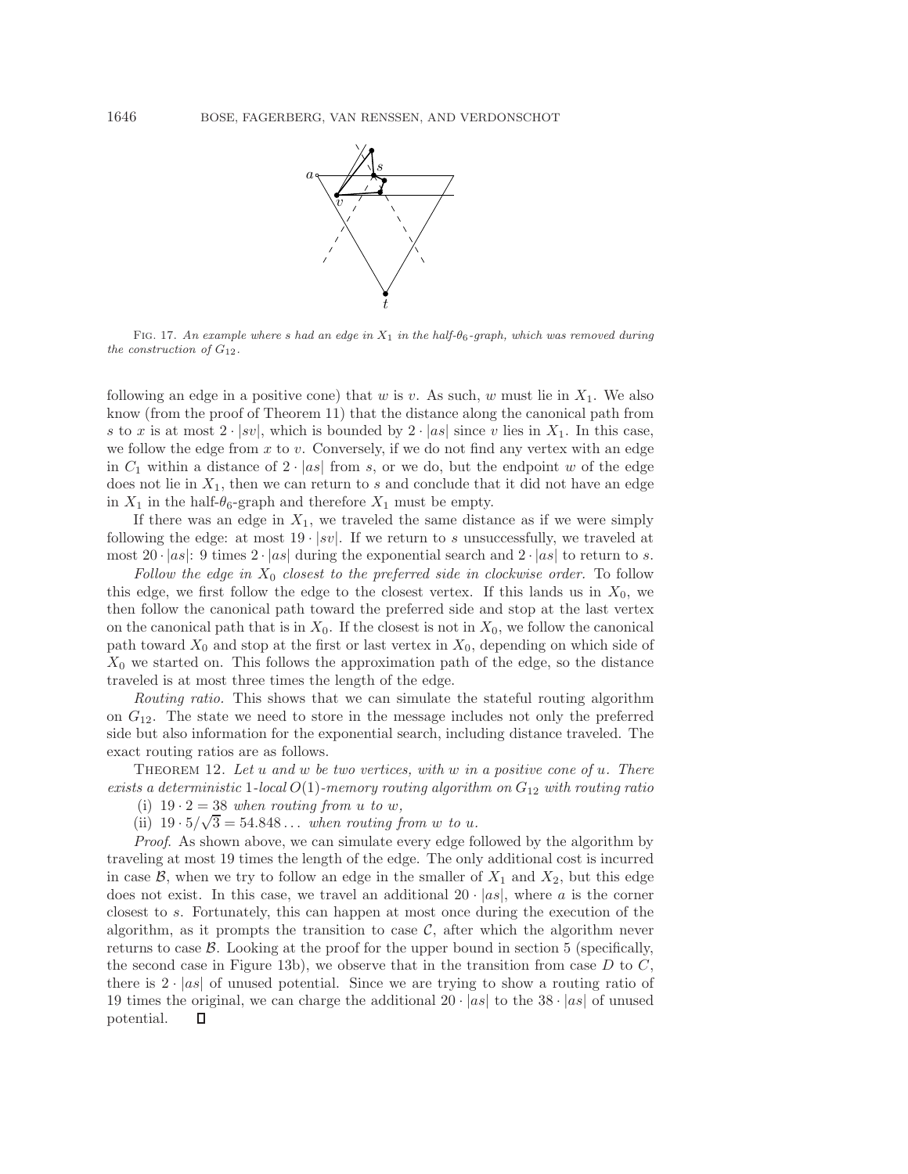<span id="page-20-0"></span>

Fig. 17. *An example where* s *had an edge in* X<sup>1</sup> *in the half-*θ6*-graph, which was removed during the construction of*  $G_{12}$ *.* 

following an edge in a positive cone) that w is v. As such, w must lie in  $X_1$ . We also know (from the proof of Theorem [11\)](#page-17-1) that the distance along the canonical path from s to x is at most  $2 \cdot |sv|$ , which is bounded by  $2 \cdot |as|$  since v lies in  $X_1$ . In this case, we follow the edge from  $x$  to  $v$ . Conversely, if we do not find any vertex with an edge in  $C_1$  within a distance of  $2 \cdot |as|$  from s, or we do, but the endpoint w of the edge does not lie in  $X_1$ , then we can return to s and conclude that it did not have an edge in  $X_1$  in the half- $\theta_6$ -graph and therefore  $X_1$  must be empty.

If there was an edge in  $X_1$ , we traveled the same distance as if we were simply following the edge: at most  $19 \cdot |sv|$ . If we return to s unsuccessfully, we traveled at most  $20 \cdot |as|$ : 9 times  $2 \cdot |as|$  during the exponential search and  $2 \cdot |as|$  to return to s.

*Follow the edge in* X<sup>0</sup> *closest to the preferred side in clockwise order.* To follow this edge, we first follow the edge to the closest vertex. If this lands us in  $X_0$ , we then follow the canonical path toward the preferred side and stop at the last vertex on the canonical path that is in  $X_0$ . If the closest is not in  $X_0$ , we follow the canonical path toward  $X_0$  and stop at the first or last vertex in  $X_0$ , depending on which side of  $X_0$  we started on. This follows the approximation path of the edge, so the distance traveled is at most three times the length of the edge.

*Routing ratio.* This shows that we can simulate the stateful routing algorithm on  $G_{12}$ . The state we need to store in the message includes not only the preferred side but also information for the exponential search, including distance traveled. The exact routing ratios are as follows.

Theorem 12. *Let* u *and* w *be two vertices, with* w *in a positive cone of* u*. There exists a deterministic* 1*-local*  $O(1)$ *-memory routing algorithm on*  $G_{12}$  *with routing ratio* 

(i)  $19 \cdot 2 = 38$  *when routing from u to w*,

(ii)  $19 \cdot 5/\sqrt{3} = 54.848...$  *when routing from w to u.* 

*Proof*. As shown above, we can simulate every edge followed by the algorithm by traveling at most 19 times the length of the edge. The only additional cost is incurred in case  $\mathcal{B}$ , when we try to follow an edge in the smaller of  $X_1$  and  $X_2$ , but this edge does not exist. In this case, we travel an additional  $20 \cdot |as|$ , where a is the corner closest to s. Fortunately, this can happen at most once during the execution of the algorithm, as it prompts the transition to case  $\mathcal{C}$ , after which the algorithm never returns to case  $\mathcal{B}$ . Looking at the proof for the upper bound in section [5](#page-6-0) (specifically, the second case in Figure [13b](#page-14-1)), we observe that in the transition from case  $D$  to  $C$ , there is  $2 \cdot |as|$  of unused potential. Since we are trying to show a routing ratio of 19 times the original, we can charge the additional  $20 \cdot |as|$  to the 38  $\cdot |as|$  of unused potential.П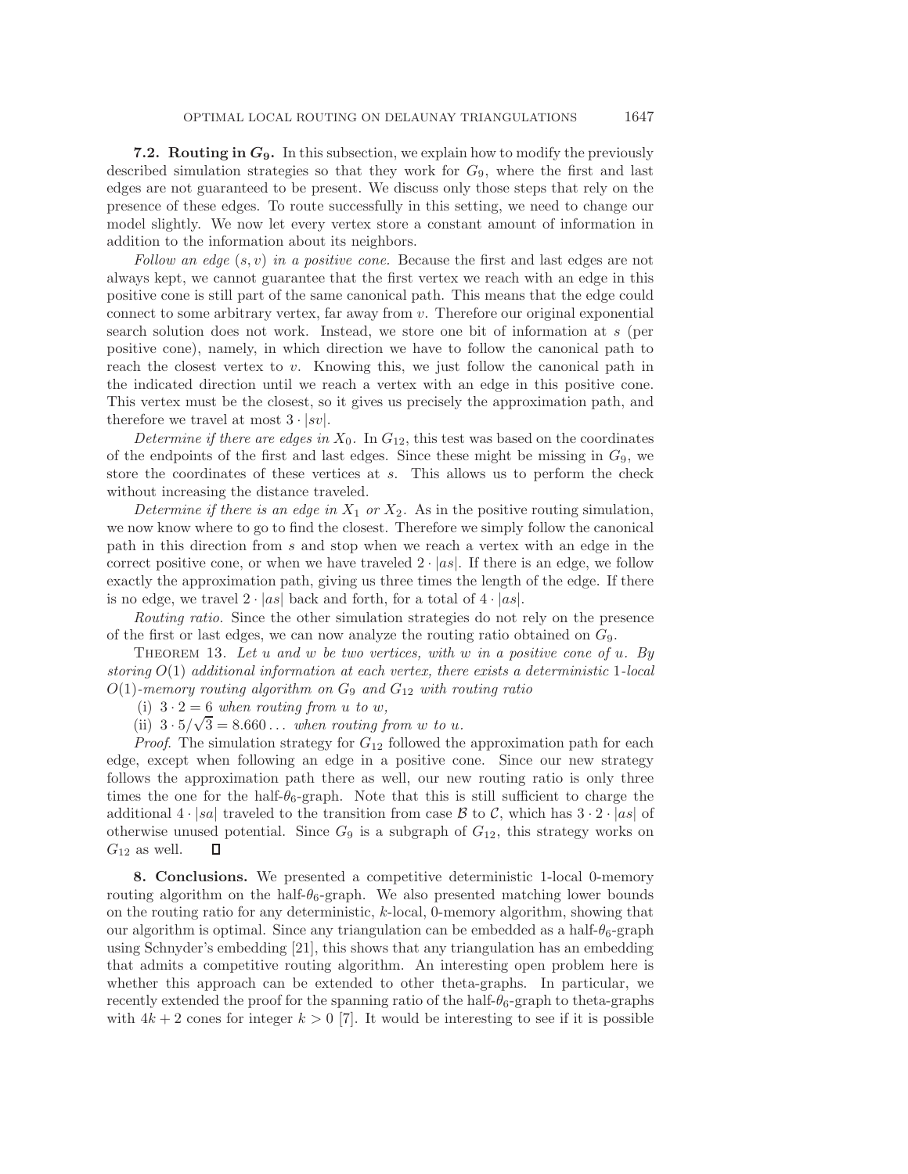<span id="page-21-0"></span>**7.2. Routing in** *G***9.** In this subsection, we explain how to modify the previously described simulation strategies so that they work for  $G_9$ , where the first and last edges are not guaranteed to be present. We discuss only those steps that rely on the presence of these edges. To route successfully in this setting, we need to change our model slightly. We now let every vertex store a constant amount of information in addition to the information about its neighbors.

*Follow an edge* (s, v) *in a positive cone.* Because the first and last edges are not always kept, we cannot guarantee that the first vertex we reach with an edge in this positive cone is still part of the same canonical path. This means that the edge could connect to some arbitrary vertex, far away from  $v$ . Therefore our original exponential search solution does not work. Instead, we store one bit of information at s (per positive cone), namely, in which direction we have to follow the canonical path to reach the closest vertex to  $v$ . Knowing this, we just follow the canonical path in the indicated direction until we reach a vertex with an edge in this positive cone. This vertex must be the closest, so it gives us precisely the approximation path, and therefore we travel at most  $3 \cdot |sv|$ .

*Determine if there are edges in*  $X_0$ . In  $G_{12}$ , this test was based on the coordinates of the endpoints of the first and last edges. Since these might be missing in  $G_9$ , we store the coordinates of these vertices at s. This allows us to perform the check without increasing the distance traveled.

*Determine if there is an edge in*  $X_1$  *or*  $X_2$ . As in the positive routing simulation, we now know where to go to find the closest. Therefore we simply follow the canonical path in this direction from s and stop when we reach a vertex with an edge in the correct positive cone, or when we have traveled  $2 \cdot |as|$ . If there is an edge, we follow exactly the approximation path, giving us three times the length of the edge. If there is no edge, we travel  $2 \cdot |as|$  back and forth, for a total of  $4 \cdot |as|$ .

*Routing ratio.* Since the other simulation strategies do not rely on the presence of the first or last edges, we can now analyze the routing ratio obtained on  $G_9$ .

Theorem 13. *Let* u *and* w *be two vertices, with* w *in a positive cone of* u*. By storing* O(1) *additional information at each vertex, there exists a deterministic* 1*-local*  $O(1)$ -memory routing algorithm on  $G_9$  and  $G_{12}$  with routing ratio

(i)  $3 \cdot 2 = 6$  *when routing from u to w*,

(i)  $3 \cdot 2 = 6$  when routing from u to w,<br>(ii)  $3 \cdot 5/\sqrt{3} = 8.660...$  when routing from w to u.

*Proof.* The simulation strategy for  $G_{12}$  followed the approximation path for each edge, except when following an edge in a positive cone. Since our new strategy follows the approximation path there as well, our new routing ratio is only three times the one for the half- $\theta_6$ -graph. Note that this is still sufficient to charge the additional  $4 \cdot |sa|$  traveled to the transition from case  $\beta$  to  $\beta$ , which has  $3 \cdot 2 \cdot |as|$  of otherwise unused potential. Since  $G_9$  is a subgraph of  $G_{12}$ , this strategy works on  $G_{12}$  as well. О

**8. Conclusions.** We presented a competitive deterministic 1-local 0-memory routing algorithm on the half- $\theta_6$ -graph. We also presented matching lower bounds on the routing ratio for any deterministic, k-local, 0-memory algorithm, showing that our algorithm is optimal. Since any triangulation can be embedded as a half- $\theta_6$ -graph using Schnyder's embedding [\[21\]](#page-23-2), this shows that any triangulation has an embedding that admits a competitive routing algorithm. An interesting open problem here is whether this approach can be extended to other theta-graphs. In particular, we recently extended the proof for the spanning ratio of the half- $\theta_6$ -graph to theta-graphs with  $4k + 2$  cones for integer  $k > 0$  [\[7\]](#page-22-17). It would be interesting to see if it is possible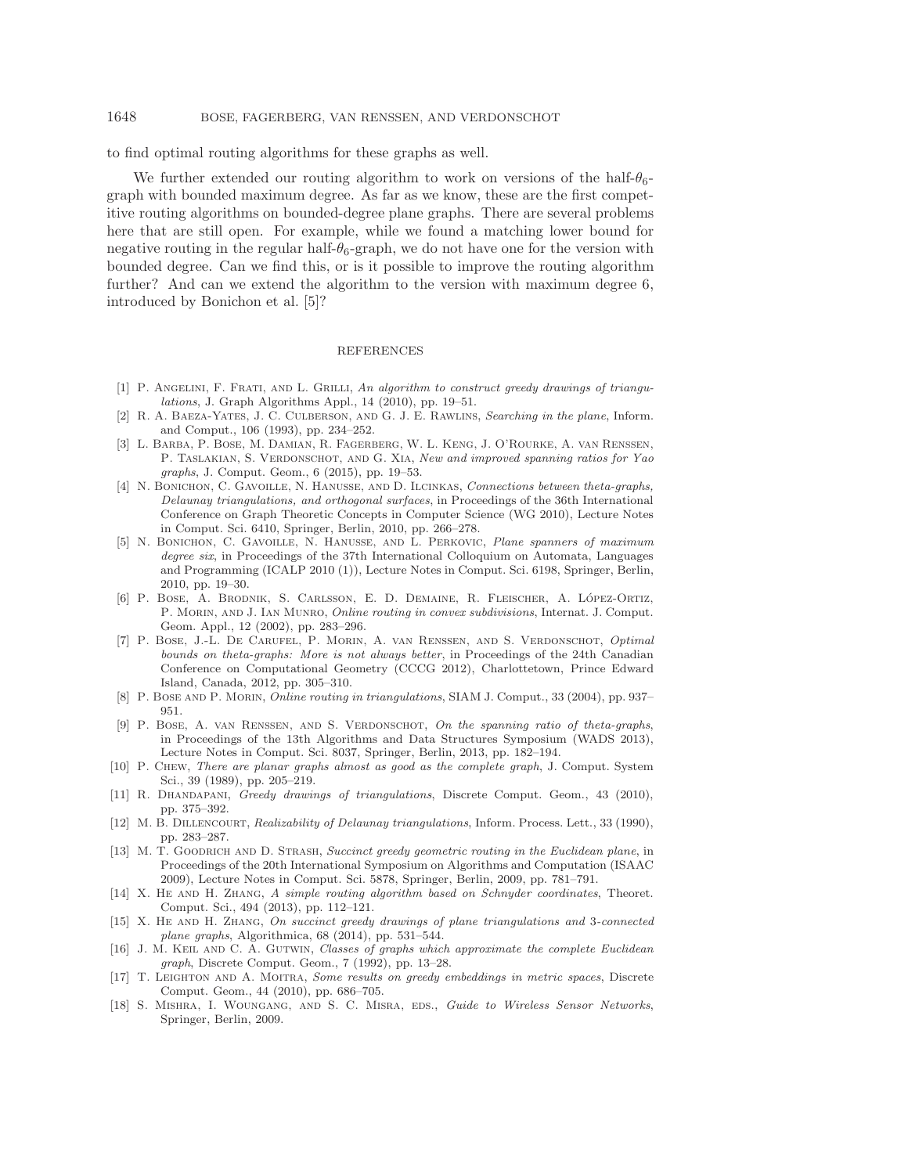### 1648 BOSE, FAGERBERG, VAN RENSSEN, AND VERDONSCHOT

to find optimal routing algorithms for these graphs as well.

We further extended our routing algorithm to work on versions of the half- $\theta_{6}$ graph with bounded maximum degree. As far as we know, these are the first competitive routing algorithms on bounded-degree plane graphs. There are several problems here that are still open. For example, while we found a matching lower bound for negative routing in the regular half- $\theta_6$ -graph, we do not have one for the version with bounded degree. Can we find this, or is it possible to improve the routing algorithm further? And can we extend the algorithm to the version with maximum degree 6, introduced by Bonichon et al. [\[5\]](#page-22-12)?

### REFERENCES

- <span id="page-22-4"></span>[1] P. Angelini, F. Frati, and L. Grilli, *An algorithm to construct greedy drawings of triangulations*, J. Graph Algorithms Appl., 14 (2010), pp. 19–51.
- <span id="page-22-16"></span>[2] R. A. Baeza-Yates, J. C. Culberson, and G. J. E. Rawlins, *Searching in the plane*, Inform. and Comput., 106 (1993), pp. 234–252.
- <span id="page-22-15"></span>[3] L. Barba, P. Bose, M. Damian, R. Fagerberg, W. L. Keng, J. O'Rourke, A. van Renssen, P. TASLAKIAN, S. VERDONSCHOT, AND G. XIA, *New and improved spanning ratios for Yao graphs*, J. Comput. Geom., 6 (2015), pp. 19–53.
- <span id="page-22-10"></span>[4] N. Bonichon, C. Gavoille, N. Hanusse, and D. Ilcinkas, *Connections between theta-graphs, Delaunay triangulations, and orthogonal surfaces*, in Proceedings of the 36th International Conference on Graph Theoretic Concepts in Computer Science (WG 2010), Lecture Notes in Comput. Sci. 6410, Springer, Berlin, 2010, pp. 266–278.
- <span id="page-22-12"></span>[5] N. Bonichon, C. Gavoille, N. Hanusse, and L. Perkovic, *Plane spanners of maximum degree six*, in Proceedings of the 37th International Colloquium on Automata, Languages and Programming (ICALP 2010 (1)), Lecture Notes in Comput. Sci. 6198, Springer, Berlin, 2010, pp. 19–30.
- <span id="page-22-2"></span>[6] P. Bose, A. Brodnik, S. Carlsson, E. D. Demaine, R. Fleischer, A. Lopez-Ortiz, ´ P. Morin, and J. Ian Munro, *Online routing in convex subdivisions*, Internat. J. Comput. Geom. Appl., 12 (2002), pp. 283–296.
- <span id="page-22-17"></span>[7] P. Bose, J.-L. De Carufel, P. Morin, A. van Renssen, and S. Verdonschot, *Optimal bounds on theta-graphs: More is not always better*, in Proceedings of the 24th Canadian Conference on Computational Geometry (CCCG 2012), Charlottetown, Prince Edward Island, Canada, 2012, pp. 305–310.
- <span id="page-22-1"></span>[8] P. Bose and P. Morin, *Online routing in triangulations*, SIAM J. Comput., 33 (2004), pp. 937– 951.
- <span id="page-22-14"></span>[9] P. BOSE, A. van RENSSEN, AND S. VERDONSCHOT, On the spanning ratio of theta-graphs, in Proceedings of the 13th Algorithms and Data Structures Symposium (WADS 2013), Lecture Notes in Comput. Sci. 8037, Springer, Berlin, 2013, pp. 182–194.
- <span id="page-22-11"></span>[10] P. Chew, *There are planar graphs almost as good as the complete graph*, J. Comput. System Sci., 39 (1989), pp. 205–219.
- <span id="page-22-3"></span>[11] R. Dhandapani, *Greedy drawings of triangulations*, Discrete Comput. Geom., 43 (2010), pp. 375–392.
- <span id="page-22-9"></span>[12] M. B. Dillencourt, *Realizability of Delaunay triangulations*, Inform. Process. Lett., 33 (1990), pp. 283–287.
- <span id="page-22-7"></span>[13] M. T. Goodrich and D. Strash, *Succinct greedy geometric routing in the Euclidean plane*, in Proceedings of the 20th International Symposium on Algorithms and Computation (ISAAC 2009), Lecture Notes in Comput. Sci. 5878, Springer, Berlin, 2009, pp. 781–791.
- <span id="page-22-6"></span>[14] X. He and H. Zhang, *A simple routing algorithm based on Schnyder coordinates*, Theoret. Comput. Sci., 494 (2013), pp. 112–121.
- <span id="page-22-8"></span>[15] X. He and H. Zhang, *On succinct greedy drawings of plane triangulations and* 3*-connected plane graphs*, Algorithmica, 68 (2014), pp. 531–544.
- <span id="page-22-13"></span>[16] J. M. Keil and C. A. Gutwin, *Classes of graphs which approximate the complete Euclidean graph*, Discrete Comput. Geom., 7 (1992), pp. 13–28.
- <span id="page-22-5"></span>[17] T. Leighton and A. Moitra, *Some results on greedy embeddings in metric spaces*, Discrete Comput. Geom., 44 (2010), pp. 686–705.
- <span id="page-22-0"></span>[18] S. Mishra, I. Woungang, and S. C. Misra, eds., *Guide to Wireless Sensor Networks*, Springer, Berlin, 2009.